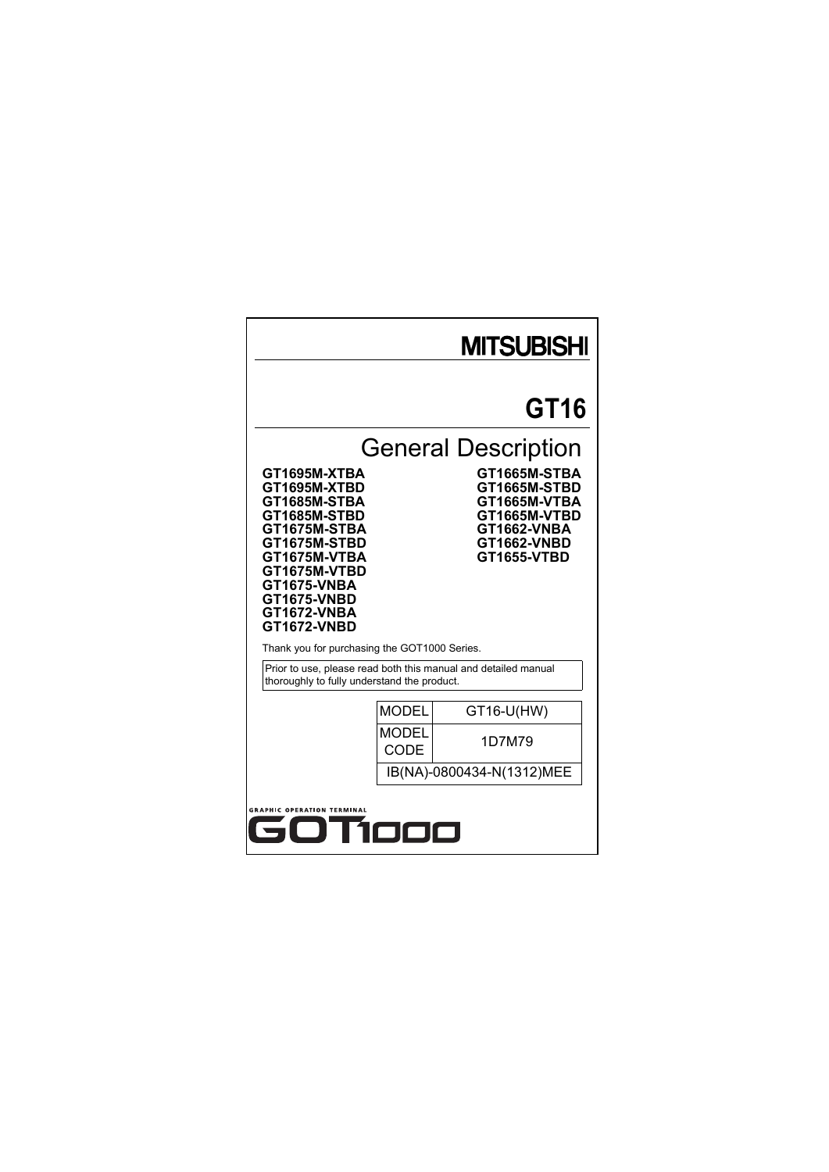# **MITSUBISHI**

# **GT16**

# General Description

**GT1695M-XTBA GT1665M-STBA GT1695M-XTBD GT1665M-STBD GT1685M-STBA GT1665M-VTBA GT1675M-STBA GT1662-VNBA GT1675M-STBD GT1662-VNBD GT1675M-VTBA GT1655-VTBD GT1675M-VTBD GT1675-VNBA GT1675-VNBD GT1672-VNBA GT1672-VNBD**

**GT1685M-STBD GT1665M-VTBD**

Thank you for purchasing the GOT1000 Series.

Prior to use, please read both this manual and detailed manual thoroughly to fully understand the product.

| <b>MODEL</b>              | GT16-U(HW) |  |  |
|---------------------------|------------|--|--|
| <b>MODEL</b><br>CODE      | 1D7M79     |  |  |
| IB(NA)-0800434-N(1312)MEE |            |  |  |

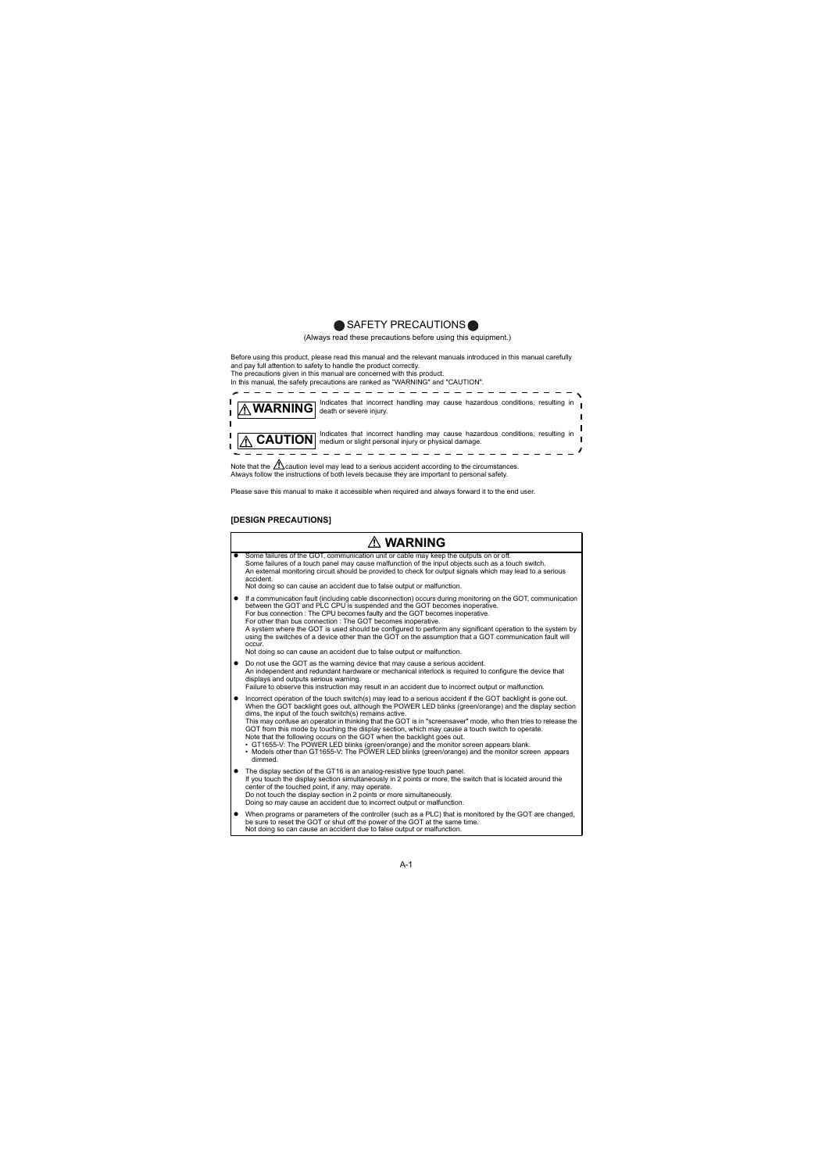# SAFETY PRECAUTIONS

(Always read these precautions before using this equipment.)

Before using this product, please read this manual and the relevant manuals introduced in this manual carefully and pay full attention to safety to handle the product correctly.

The precautions given in this manual are concerned with this product.

In this manual, the safety precautions are ranked as "WARNING" and "CAUTION".



Note that the  $\triangle$  caution level may lead to a serious accident according to the circumstances. Always follow the instructions of both levels because they are important to personal safety.

Please save this manual to make it accessible when required and always forward it to the end user.

### **[DESIGN PRECAUTIONS]**

|   | ∕∖∖ WARNING                                                                                                                                                                                                                                                                                                                                                                                                                                                                                                                                                                                                                                                                                                                                                                         |  |  |  |  |
|---|-------------------------------------------------------------------------------------------------------------------------------------------------------------------------------------------------------------------------------------------------------------------------------------------------------------------------------------------------------------------------------------------------------------------------------------------------------------------------------------------------------------------------------------------------------------------------------------------------------------------------------------------------------------------------------------------------------------------------------------------------------------------------------------|--|--|--|--|
|   | Some failures of the GOT, communication unit or cable may keep the outputs on or off.<br>Some failures of a touch panel may cause malfunction of the input objects such as a touch switch.<br>An external monitoring circuit should be provided to check for output signals which may lead to a serious<br>accident.<br>Not doing so can cause an accident due to false output or malfunction.                                                                                                                                                                                                                                                                                                                                                                                      |  |  |  |  |
| ٠ | If a communication fault (including cable disconnection) occurs during monitoring on the GOT, communication<br>between the GOT and PLC CPU is suspended and the GOT becomes inoperative.<br>For bus connection : The CPU becomes faulty and the GOT becomes inoperative.<br>For other than bus connection : The GOT becomes inoperative.<br>A system where the GOT is used should be configured to perform any significant operation to the system by<br>using the switches of a device other than the GOT on the assumption that a GOT communication fault will<br>occur.<br>Not doing so can cause an accident due to false output or malfunction.                                                                                                                                |  |  |  |  |
|   | Do not use the GOT as the warning device that may cause a serious accident.<br>An independent and redundant hardware or mechanical interlock is required to configure the device that<br>displays and outputs serious warning.<br>Failure to observe this instruction may result in an accident due to incorrect output or malfunction.                                                                                                                                                                                                                                                                                                                                                                                                                                             |  |  |  |  |
| ٠ | Incorrect operation of the touch switch(s) may lead to a serious accident if the GOT backlight is gone out.<br>When the GOT backlight goes out, although the POWER LED blinks (green/orange) and the display section<br>dims, the input of the touch switch(s) remains active.<br>This may confuse an operator in thinking that the GOT is in "screensaver" mode, who then tries to release the<br>GOT from this mode by touching the display section, which may cause a touch switch to operate.<br>Note that the following occurs on the GOT when the backlight goes out.<br>• GT1655-V: The POWER LED blinks (green/orange) and the monitor screen appears blank.<br>. Models other than GT1655-V: The POWER LED blinks (green/orange) and the monitor screen appears<br>dimmed. |  |  |  |  |
| ٠ | The display section of the GT16 is an analog-resistive type touch panel.<br>If you touch the display section simultaneously in 2 points or more, the switch that is located around the<br>center of the touched point, if any, may operate.<br>Do not touch the display section in 2 points or more simultaneously.<br>Doing so may cause an accident due to incorrect output or malfunction.                                                                                                                                                                                                                                                                                                                                                                                       |  |  |  |  |
|   | When programs or parameters of the controller (such as a PLC) that is monitored by the GOT are changed,<br>be sure to reset the GOT or shut off the power of the GOT at the same time.<br>Not doing so can cause an accident due to false output or malfunction.                                                                                                                                                                                                                                                                                                                                                                                                                                                                                                                    |  |  |  |  |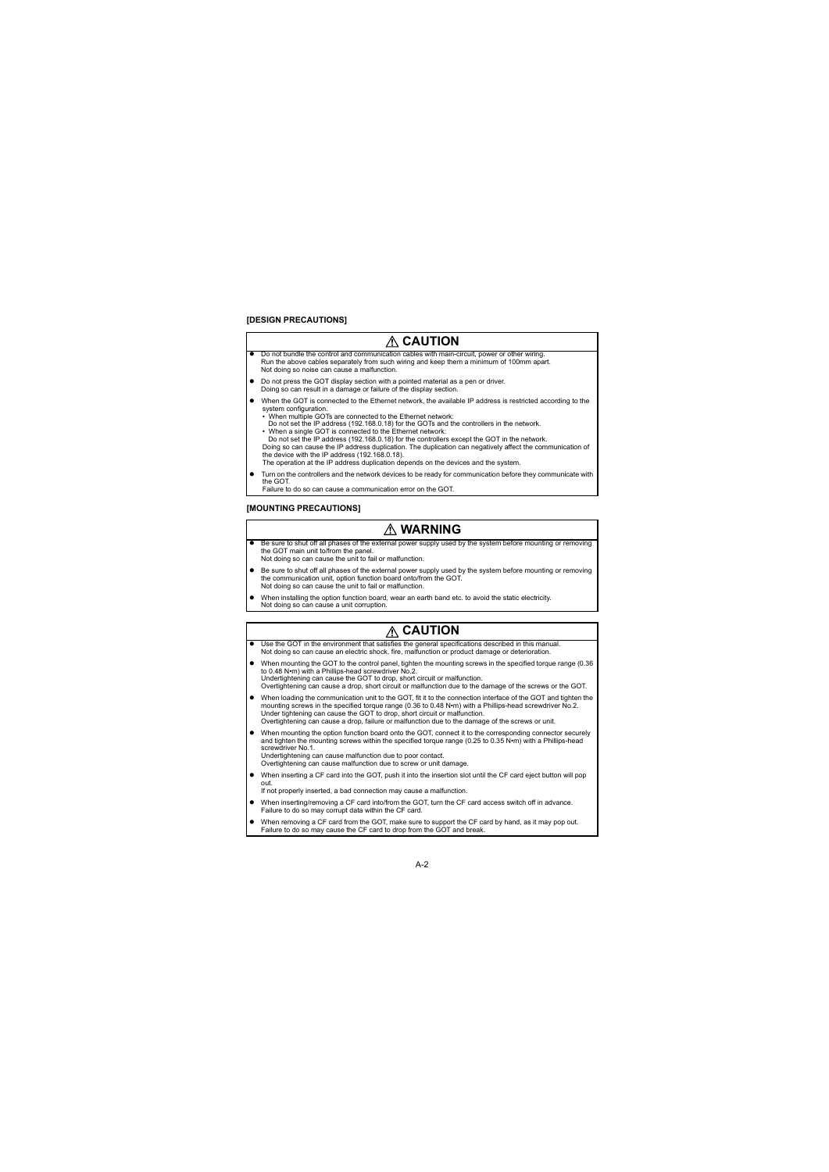#### **[DESIGN PRECAUTIONS]**

# **CAUTION**

- Do not bundle the control and communication cables with main-circuit, power or other wiring. Run the above cables separately from such wiring and keep them a minimum of 100mm apart. Not doing so noise can cause a malfunction.
- Do not press the GOT display section with a pointed material as a pen or driver. Doing so can result in a damage or failure of the display section.
- When the GOT is connected to the Ethernet network, the available IP address is restricted according to the system configuration.
	- $\cdot$  When multiple GOTs are connected to the Ethernet network: Do not set the IP address (192.168.0.18) for the GOTs and the controllers in the network.
	- When a single GOT is connected to the Ethernet network: Do not set the IP address (192.168.0.18) for the controllers except the GOT in the network.

Doing so can cause the IP address duplication. The duplication can negatively affect the communication of the device with the IP address (192.168.0.18).

The operation at the IP address duplication depends on the devices and the system.

 Turn on the controllers and the network devices to be ready for communication before they communicate with the GOT.

Failure to do so can cause a communication error on the GOT.

### **[MOUNTING PRECAUTIONS]**

# **WARNING**

- Be sure to shut off all phases of the external power supply used by the system before mounting or removing the GOT main unit to/from the panel. Not doing so can cause the unit to fail or malfunction.
- Be sure to shut off all phases of the external power supply used by the system before mounting or removing the communication unit, option function board onto/from the GOT. Not doing so can cause the unit to fail or malfunction.
- When installing the option function board, wear an earth band etc. to avoid the static electricity. Not doing so can cause a unit corruption.

# **CAUTION**

- Use the GOT in the environment that satisfies the general specifications described in this manual. Not doing so can cause an electric shock, fire, malfunction or product damage or deterioration.
- When mounting the GOT to the control panel, tighten the mounting screws in the specified torque range (0.36) to 0.48 N•m) with a Phillips-head screwdriver No.2. Undertightening can cause the GOT to drop, short circuit or malfunction. Overtightening can cause a drop, short circuit or malfunction due to the damage of the screws or the GOT.
- When loading the communication unit to the GOT, fit it to the connection interface of the GOT and tighten the mounting screws in the specified torque range (0.36 to 0.48 N•m) with a Phillips-head screwdriver No.2. Under tightening can cause the GOT to drop, short circuit or malfunction. Overtightening can cause a drop, failure or malfunction due to the damage of the screws or unit.
- When mounting the option function board onto the GOT, connect it to the corresponding connector securely and tighten the mounting screws within the specified torque range (0.25 to 0.35 N•m) with a Phillips-head screwdriver No.1. Undertightening can cause malfunction due to poor contact.
	- Overtightening can cause malfunction due to screw or unit damage.
- When inserting a CF card into the GOT, push it into the insertion slot until the CF card eject button will pop out. If not properly inserted, a bad connection may cause a malfunction.
- When inserting/removing a CF card into/from the GOT, turn the CF card access switch off in advance. Failure to do so may corrupt data within the CF card.
- When removing a CF card from the GOT, make sure to support the CF card by hand, as it may pop out. Failure to do so may cause the CF card to drop from the GOT and break.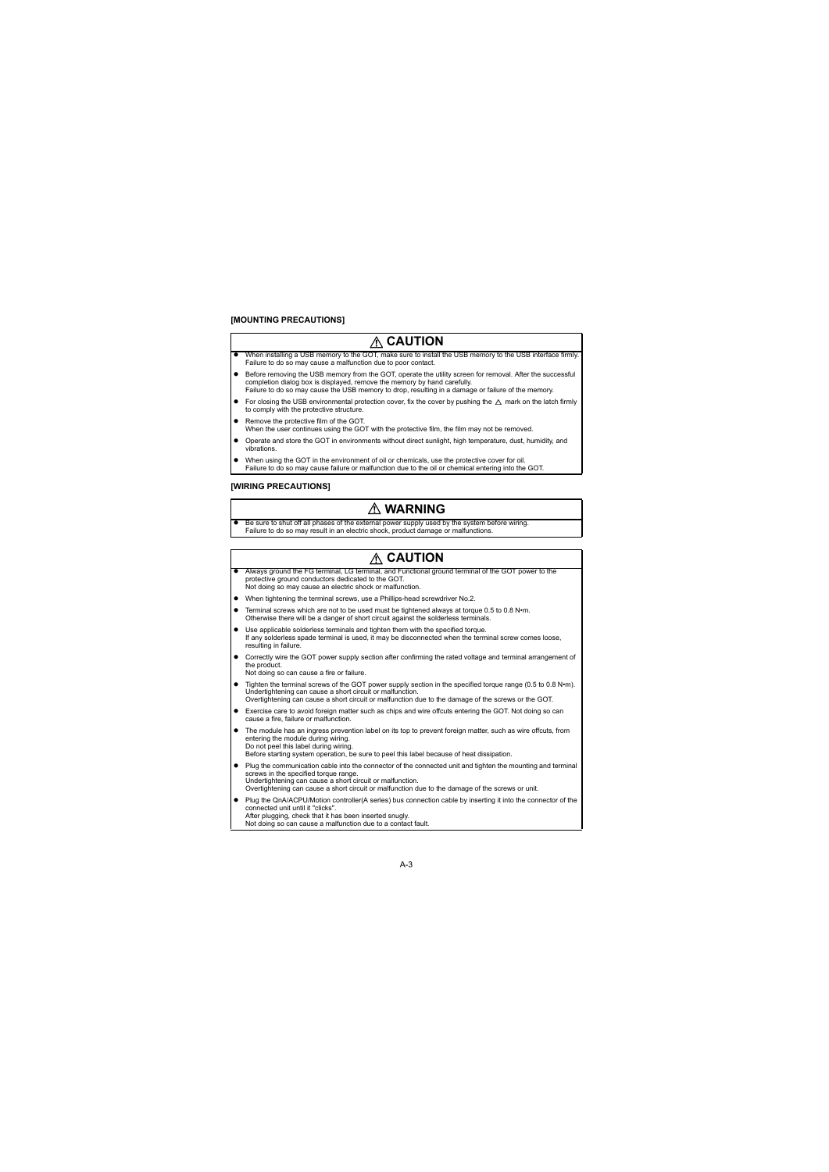# **CAUTION**

- When installing a USB memory to the GOT, make sure to install the USB memory to the USB interface firmly Failure to do so may cause a malfunction due to poor contact.
- Before removing the USB memory from the GOT, operate the utility screen for removal. After the successful completion dialog box is displayed, remove the memory by hand carefully. Failure to do so may cause the USB memory to drop, resulting in a damage or failure of the memory.
- For closing the USB environmental protection cover, fix the cover by pushing the  $\triangle$  mark on the latch firmly to comply with the protective structure.
- Remove the protective film of the GOT. When the user continues using the GOT with the protective film, the film may not be removed.
- Operate and store the GOT in environments without direct sunlight, high temperature, dust, humidity, and vibrations.
- When using the GOT in the environment of oil or chemicals, use the protective cover for oil. Failure to do so may cause failure or malfunction due to the oil or chemical entering into the GOT.

### **[WIRING PRECAUTIONS]**

# **WARNING**

 Be sure to shut off all phases of the external power supply used by the system before wiring. Failure to do so may result in an electric shock, product damage or malfunctions.

# **CAUTION**

- Always ground the FG terminal, LG terminal, and Functional ground terminal of the GOT power to the protective ground conductors dedicated to the GOT. Not doing so may cause an electric shock or malfunction.
- When tightening the terminal screws, use a Phillips-head screwdriver No.2.
- Terminal screws which are not to be used must be tightened always at torque 0.5 to 0.8 N•m. Otherwise there will be a danger of short circuit against the solderless terminals.
- Use applicable solderless terminals and tighten them with the specified torque. If any solderless spade terminal is used, it may be disconnected when the terminal screw comes loose, resulting in failure.
- Correctly wire the GOT power supply section after confirming the rated voltage and terminal arrangement of the product. Not doing so can cause a fire or failure.
- Tighten the terminal screws of the GOT power supply section in the specified torque range (0.5 to 0.8 N·m). Undertightening can cause a short circuit or malfunction. Overtightening can cause a short circuit or malfunction due to the damage of the screws or the GOT.
- Exercise care to avoid foreign matter such as chips and wire offcuts entering the GOT. Not doing so can cause a fire, failure or malfunction.
- The module has an ingress prevention label on its top to prevent foreign matter, such as wire offcuts, from entering the module during wiring. Do not peel this label during wiring. Before starting system operation, be sure to peel this label because of heat dissipation.
- Plug the communication cable into the connector of the connected unit and tighten the mounting and terminal screws in the specified torque range. Undertightening can cause a short circuit or malfunction. Overtightening can cause a short circuit or malfunction due to the damage of the screws or unit.
- Plug the QnA/ACPU/Motion controller(A series) bus connection cable by inserting it into the connector of the connected unit until it "clicks". After plugging, check that it has been inserted snugly. Not doing so can cause a malfunction due to a contact fault.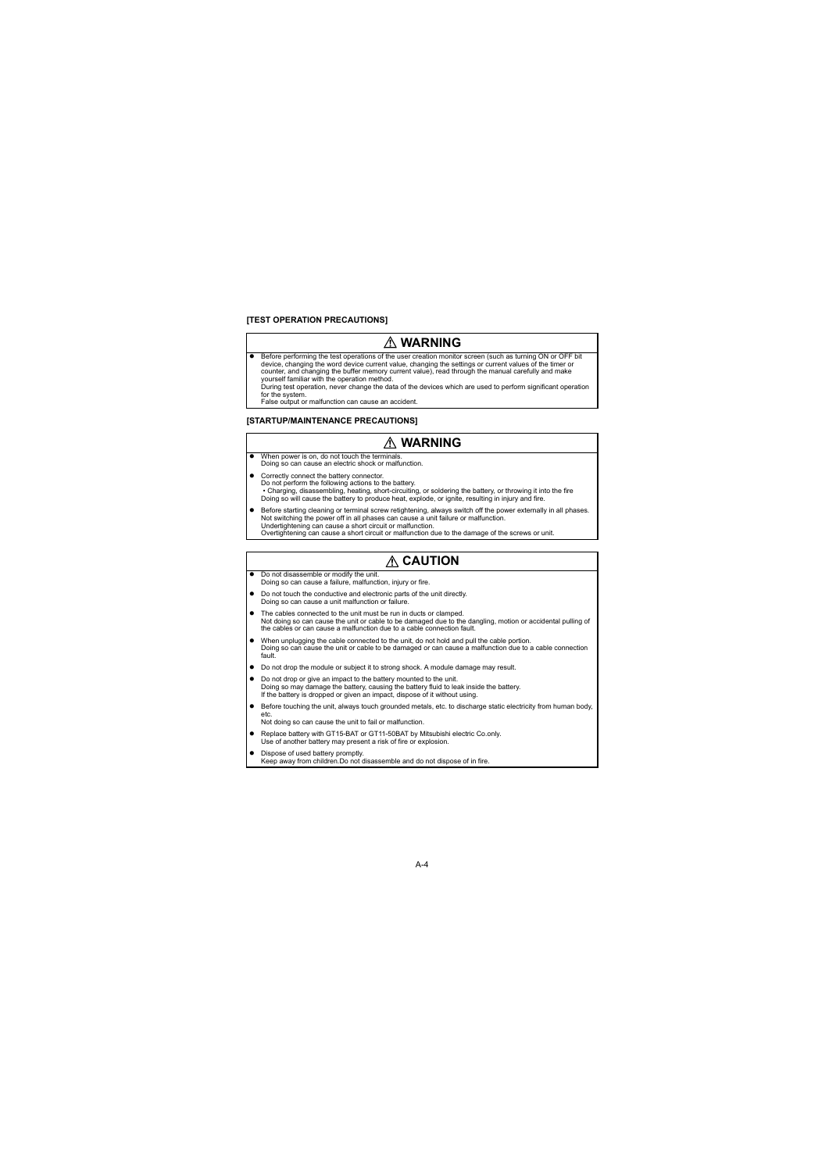### **[TEST OPERATION PRECAUTIONS]**

# **WARNING**

 Before performing the test operations of the user creation monitor screen (such as turning ON or OFF bit device, changing the word device current value, changing the settings or current values of the timer or counter, and changing the buffer memory current value), read through the manual carefully and make yourself familiar with the operation method.

During test operation, never change the data of the devices which are used to perform significant operation for the system.

False output or malfunction can cause an accident.

#### **[STARTUP/MAINTENANCE PRECAUTIONS]**

# **WARNING**

- When power is on, do not touch the terminals Doing so can cause an electric shock or malfunction.
- Correctly connect the battery connector. Do not perform the following actions to the battery. • Charging, disassembling, heating, short-circuiting, or soldering the battery, or throwing it into the fire Doing so will cause the battery to produce heat, explode, or ignite, resulting in injury and fire.
- Before starting cleaning or terminal screw retightening, always switch off the power externally in all phases. Not switching the power off in all phases can cause a unit failure or malfunction. Undertightening can cause a short circuit or malfunction. Overtightening can cause a short circuit or malfunction due to the damage of the screws or unit.

# **CAUTION**

- Do not disassemble or modify the unit. Doing so can cause a failure, malfunction, injury or fire.
- Do not touch the conductive and electronic parts of the unit directly. Doing so can cause a unit malfunction or failure.
- The cables connected to the unit must be run in ducts or clamped. Not doing so can cause the unit or cable to be damaged due to the dangling, motion or accidental pulling of the cables or can cause a malfunction due to a cable connection fault.
- When unplugging the cable connected to the unit, do not hold and pull the cable portion. Doing so can cause the unit or cable to be damaged or can cause a malfunction due to a cable connection fault.
- Do not drop the module or subject it to strong shock. A module damage may result.
- Do not drop or give an impact to the battery mounted to the unit. Doing so may damage the battery, causing the battery fluid to leak inside the battery. If the battery is dropped or given an impact, dispose of it without using.
- **Before touching the unit, always touch grounded metals, etc. to discharge static electricity from human body,**  $e^{i\pi}$

Not doing so can cause the unit to fail or malfunction.

- Replace battery with GT15-BAT or GT11-50BAT by Mitsubishi electric Co.only. Use of another battery may present a risk of fire or explosion.
- Dispose of used battery promptly. Keep away from children.Do not disassemble and do not dispose of in fire.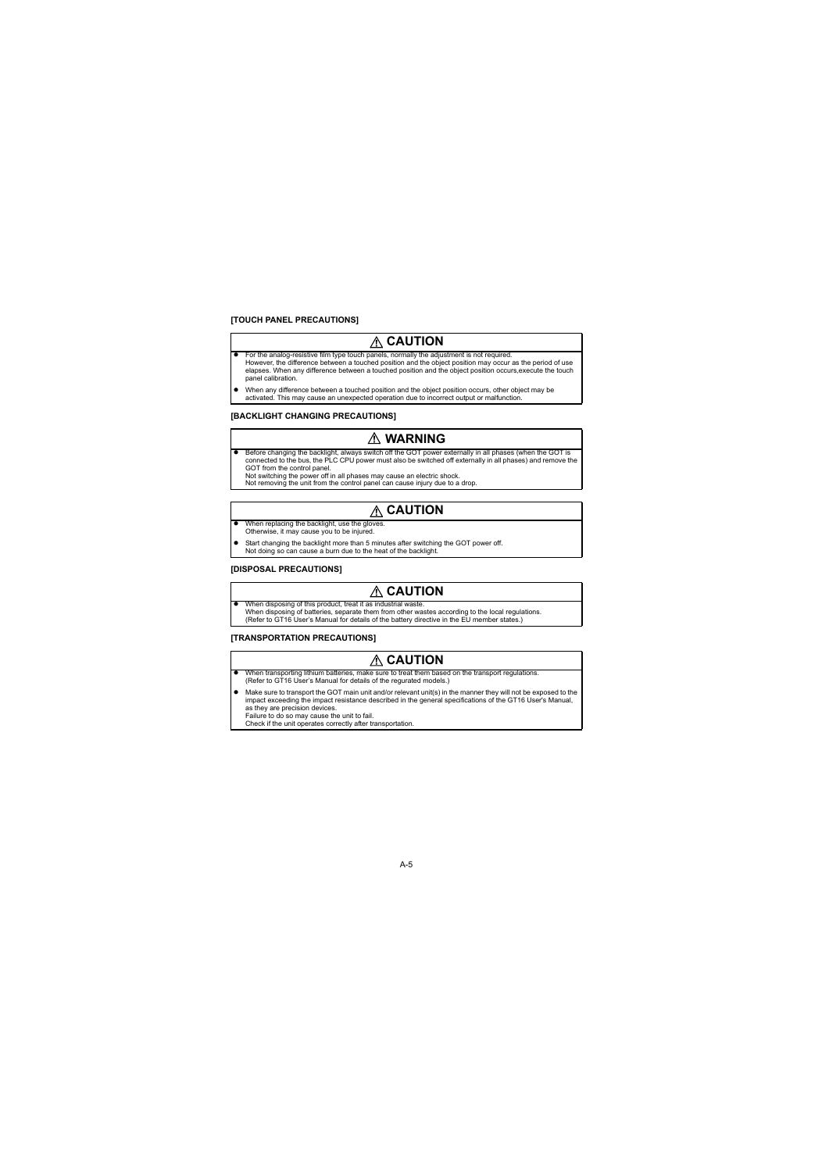### **[TOUCH PANEL PRECAUTIONS]**

# **CAUTION**

- For the analog-resistive film type touch panels, normally the adjustment is not required. However, the difference between a touched position and the object position may occur as the period of use elapses. When any difference between a touched position and the object position occurs,execute the touch panel calibration.
- When any difference between a touched position and the object position occurs, other object may be activated. This may cause an unexpected operation due to incorrect output or malfunction.

### **[BACKLIGHT CHANGING PRECAUTIONS]**

# **WARNING**

 Before changing the backlight, always switch off the GOT power externally in all phases (when the GOT is connected to the bus, the PLC CPU power must also be switched off externally in all phases) and remove the GOT from the control panel.

Not switching the power off in all phases may cause an electric shock.

Not removing the unit from the control panel can cause injury due to a drop.

# **CAUTION**

- When replacing the backlight, use the gloves. Otherwise, it may cause you to be injured.
- Start changing the backlight more than 5 minutes after switching the GOT power off. Not doing so can cause a burn due to the heat of the backlight.

### **[DISPOSAL PRECAUTIONS]**

# **CAUTION**

 When disposing of this product, treat it as industrial waste. When disposing of batteries, separate them from other wastes according to the local regulations. (Refer to GT16 User's Manual for details of the battery directive in the EU member states.)

### **[TRANSPORTATION PRECAUTIONS]**

# **CAUTION**

- When transporting lithium batteries, make sure to treat them based on the transport regulations. (Refer to GT16 User's Manual for details of the regurated models.)
- Make sure to transport the GOT main unit and/or relevant unit(s) in the manner they will not be exposed to the impact exceeding the impact resistance described in the general specifications of the GT16 User's Manual, as they are precision devices.

Failure to do so may cause the unit to fail.

Check if the unit operates correctly after transportation.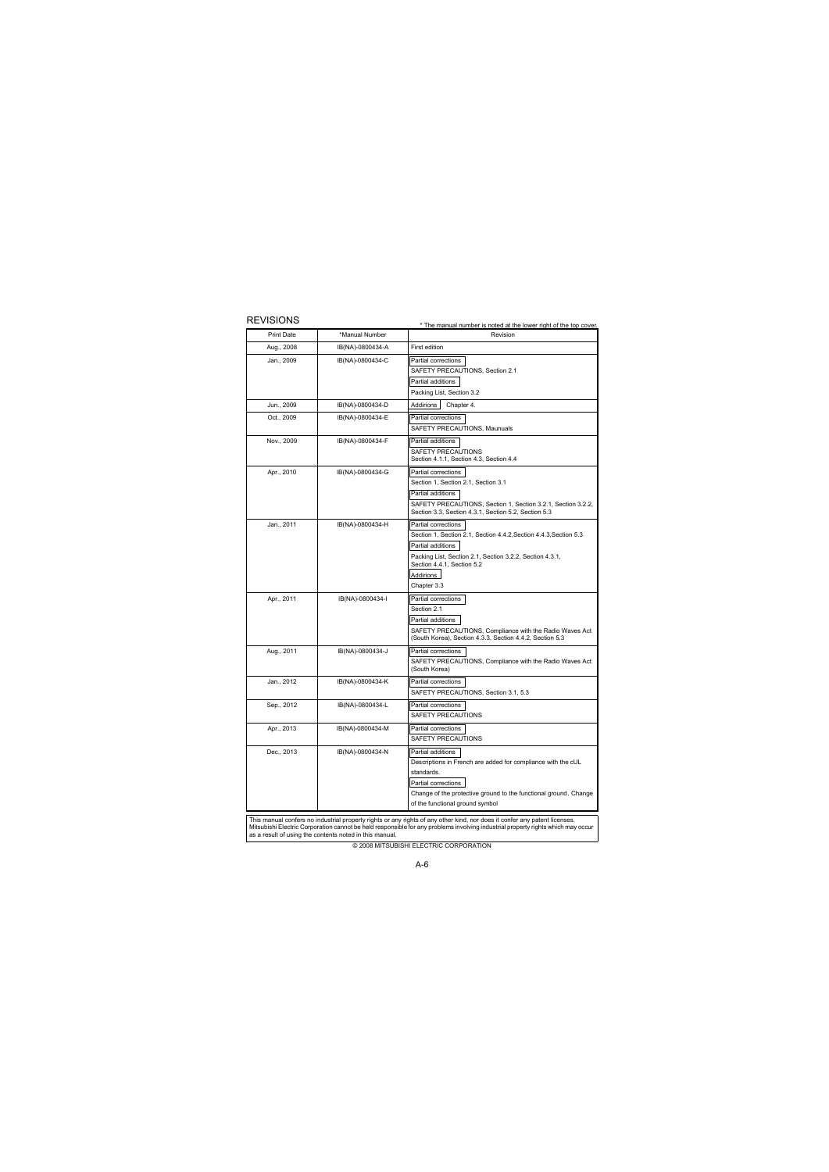REVISIONS

| <b>Print Date</b> | *Manual Number   | Revision                                                                                                                                                                                                                            |  |
|-------------------|------------------|-------------------------------------------------------------------------------------------------------------------------------------------------------------------------------------------------------------------------------------|--|
| Aug., 2008        | IB(NA)-0800434-A | First edition                                                                                                                                                                                                                       |  |
| Jan., 2009        | IB(NA)-0800434-C | Partial corrections<br>SAFETY PRECAUTIONS, Section 2.1<br>Partial additions<br>Packing List, Section 3.2                                                                                                                            |  |
| Jun., 2009        | IB(NA)-0800434-D | Addirions<br>Chapter 4.                                                                                                                                                                                                             |  |
| Oct., 2009        | IB(NA)-0800434-E | Partial corrections<br>SAFETY PRECAUTIONS, Maunuals                                                                                                                                                                                 |  |
| Nov., 2009        | IB(NA)-0800434-F | Partial additions<br>SAFETY PRECAUTIONS<br>Section 4.1.1, Section 4.3, Section 4.4                                                                                                                                                  |  |
| Apr., 2010        | IB(NA)-0800434-G | Partial corrections<br>Section 1, Section 2.1, Section 3.1<br>Partial additions<br>SAFETY PRECAUTIONS, Section 1, Section 3.2.1, Section 3.2.2,<br>Section 3.3, Section 4.3.1, Section 5.2, Section 5.3                             |  |
| Jan., 2011        | IB(NA)-0800434-H | Partial corrections<br>Section 1, Section 2.1, Section 4.4.2, Section 4.4.3, Section 5.3<br>Partial additions<br>Packing List, Section 2.1, Section 3.2.2, Section 4.3.1,<br>Section 4.4.1, Section 5.2<br>Addirions<br>Chapter 3.3 |  |
| Apr., 2011        | IB(NA)-0800434-I | Partial corrections<br>Section 2.1<br>Partial additions<br>SAFETY PRECAUTIONS, Compliance with the Radio Waves Act<br>(South Korea), Section 4.3.3, Section 4.4.2, Section 5.3                                                      |  |
| Aug., 2011        | IB(NA)-0800434-J | Partial corrections<br>SAFETY PRECAUTIONS, Compliance with the Radio Waves Act<br>(South Korea)                                                                                                                                     |  |
| Jan., 2012        | IB(NA)-0800434-K | Partial corrections<br>SAFETY PRECAUTIONS, Section 3.1, 5.3                                                                                                                                                                         |  |
| Sep., 2012        | IB(NA)-0800434-L | Partial corrections<br>SAFETY PRECAUTIONS                                                                                                                                                                                           |  |
| Apr., 2013        | IB(NA)-0800434-M | Partial corrections<br>SAFETY PRECAUTIONS                                                                                                                                                                                           |  |
| Dec., 2013        | IB(NA)-0800434-N | Partial additions<br>Descriptions in French are added for compliance with the cUL<br>standards.<br>Partial corrections<br>Change of the protective ground to the functional ground, Change<br>of the functional ground symbol       |  |

This manual confers no industrial property rights or any rights of any other kind, nor does it confer any patent licenses.<br>Mitsubishi Electric Corporation cannot be held responsible for any problems involving industrial pr as a result of using the contents noted in this manual.

© 2008 MITSUBISHI ELECTRIC CORPORATION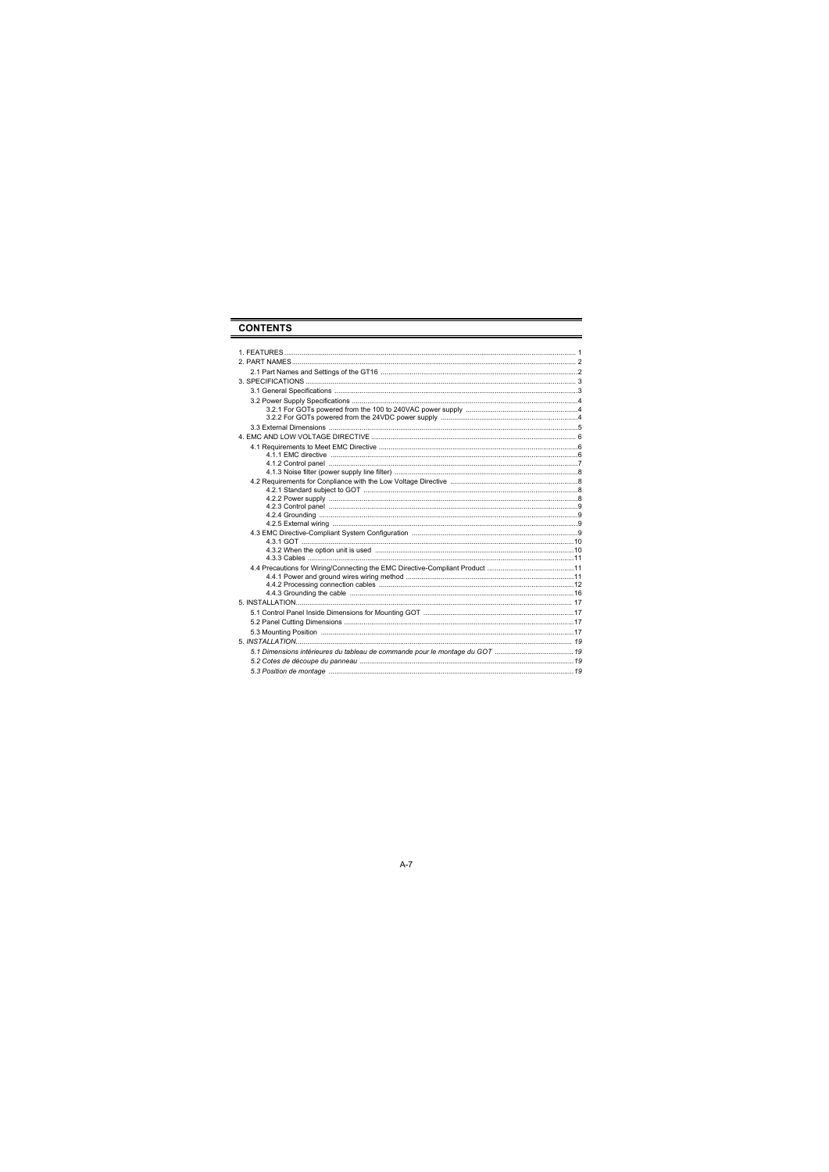# **CONTENTS**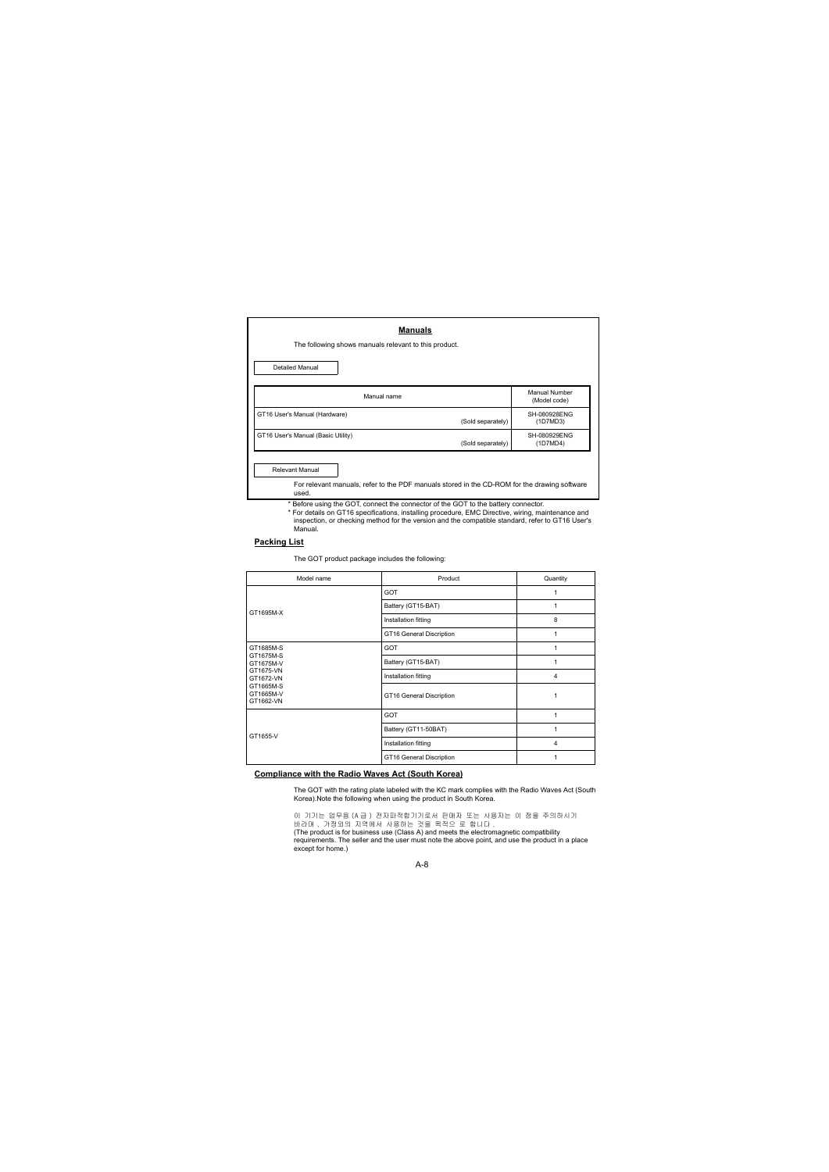| <b>Manuals</b>                                                                                                           |                   |                               |
|--------------------------------------------------------------------------------------------------------------------------|-------------------|-------------------------------|
| The following shows manuals relevant to this product.                                                                    |                   |                               |
| <b>Detailed Manual</b>                                                                                                   |                   |                               |
| Manual name                                                                                                              |                   | Manual Number<br>(Model code) |
| GT16 User's Manual (Hardware)                                                                                            | (Sold separately) | SH-080928FNG<br>(1D7MD3)      |
| GT16 User's Manual (Basic Utility)                                                                                       | (Sold separately) | SH-080929FNG<br>(1D7MD4)      |
| Relevant Manual<br>For relevant manuals, refer to the PDF manuals stored in the CD-ROM for the drawing software<br>used. |                   |                               |

- \* Before using the GOT, connect the connector of the GOT to the battery connector.
- \* For details on GT16 specifications, installing procedure, EMC Directive, wiring, maintenance and inspection, or checking method for the version and the compatible standard, refer to GT16 User's Manual.

#### **Packing List**

The GOT product package includes the following:

| Model name                          | Product                  | Quantity       |
|-------------------------------------|--------------------------|----------------|
|                                     | GOT                      |                |
| GT1695M-X                           | Battery (GT15-BAT)       |                |
|                                     | Installation fitting     | 8              |
|                                     | GT16 General Discription |                |
| GT1685M-S                           | GOT                      |                |
| GT1675M-S<br>GT1675M-V              | Battery (GT15-BAT)       |                |
| GT1675-VN<br>GT1672-VN              | Installation fitting     | $\overline{4}$ |
| GT1665M-S<br>GT1665M-V<br>GT1662-VN | GT16 General Discription |                |
|                                     | GOT                      |                |
| GT1655-V                            | Battery (GT11-50BAT)     |                |
|                                     | Installation fitting     | $\overline{4}$ |
|                                     | GT16 General Discription |                |

#### **Compliance with the Radio Waves Act (South Korea)**

The GOT with the rating plate labeled with the KC mark complies with the Radio Waves Act (South Korea).Note the following when using the product in South Korea.

이 기기는 업무용 (A 급 ) 전자파적합기기로서 판매자 또는 사용자는 이 점을 주의하시기 바라며 , 가정외의 지역에서 사용하는 것을 목적으 로 합니다 . (The product is for business use (Class A) and meets the electromagnetic compatibility requirements. The seller and the user must note the above point, and use the product in a place except for home.)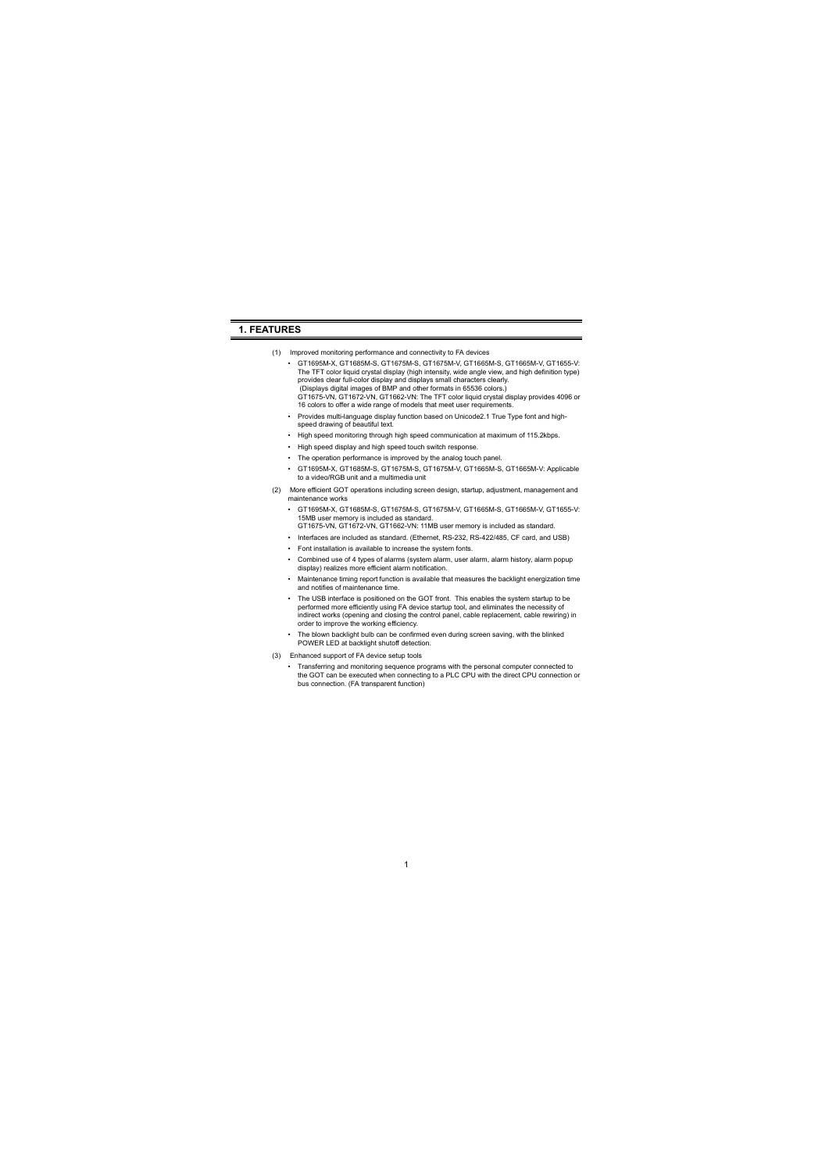## <span id="page-9-0"></span>**1. FEATURES**

- (1) Improved monitoring performance and connectivity to FA devices
	- GT1695M-X, GT1685M-S, GT1675M-S, GT1675M-V, GT1665M-S, GT1665M-V, GT1655-V: The TFT color liquid crystal display (high intensity, wide angle view, and high definition type) provides clear full-color display and displays small characters clearly. (Displays digital images of BMP and other formats in 65536 colors.) GT1675-VN, GT1672-VN, GT1662-VN: The TFT color liquid crystal display provides 4096 or 16 colors to offer a wide range of models that meet user requirements.
	- Provides multi-language display function based on Unicode2.1 True Type font and highspeed drawing of beautiful text.
	- High speed monitoring through high speed communication at maximum of 115.2kbps.
	- High speed display and high speed touch switch response.
	- The operation performance is improved by the analog touch panel.
	- GT1695M-X, GT1685M-S, GT1675M-S, GT1675M-V, GT1665M-S, GT1665M-V: Applicable to a video/RGB unit and a multimedia unit
- (2) More efficient GOT operations including screen design, startup, adjustment, management and maintenance works
	- GT1695M-X, GT1685M-S, GT1675M-S, GT1675M-V, GT1665M-S, GT1665M-V, GT1655-V: 15MB user memory is included as standard. GT1675-VN, GT1672-VN, GT1662-VN: 11MB user memory is included as standard.
	- Interfaces are included as standard. (Ethernet, RS-232, RS-422/485, CF card, and USB)
	- Font installation is available to increase the system fonts.
	- Combined use of 4 types of alarms (system alarm, user alarm, alarm history, alarm popup display) realizes more efficient alarm notification.
	- Maintenance timing report function is available that measures the backlight energization time and notifies of maintenance time.
	- The USB interface is positioned on the GOT front. This enables the system startup to be performed more efficiently using FA device startup tool, and eliminates the necessity of indirect works (opening and closing the control panel, cable replacement, cable rewiring) in order to improve the working efficiency.
	- The blown backlight bulb can be confirmed even during screen saving, with the blinked POWER LED at backlight shutoff detection.
- (3) Enhanced support of FA device setup tools
	- Transferring and monitoring sequence programs with the personal computer connected to the GOT can be executed when connecting to a PLC CPU with the direct CPU connection or bus connection. (FA transparent function)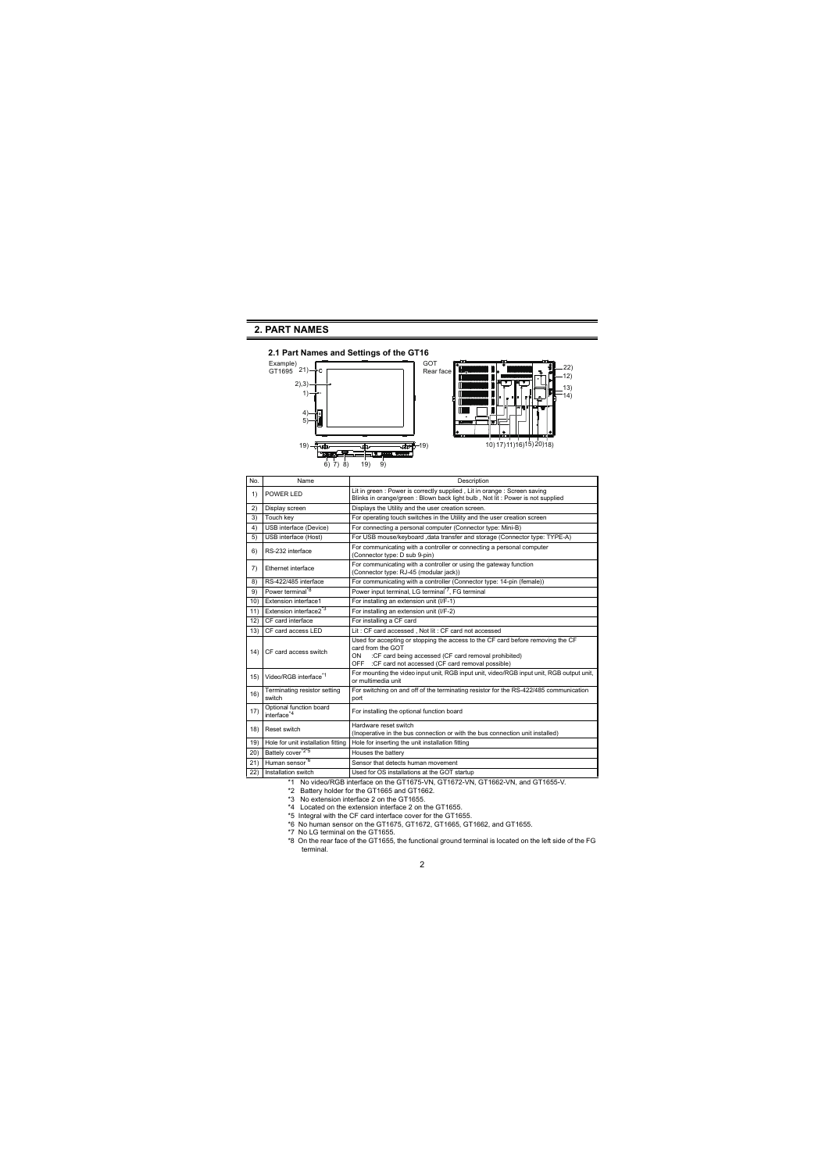# <span id="page-10-0"></span>**2. PART NAMES**

<span id="page-10-1"></span>

| No. | Name                                              | Description                                                                                                                                                                                                                 |  |  |
|-----|---------------------------------------------------|-----------------------------------------------------------------------------------------------------------------------------------------------------------------------------------------------------------------------------|--|--|
| 1)  | POWER I FD                                        | Lit in green : Power is correctly supplied, Lit in orange : Screen saving<br>Blinks in orange/green: Blown back light bulb, Not lit: Power is not supplied                                                                  |  |  |
| 2)  | Display screen                                    | Displays the Utility and the user creation screen.                                                                                                                                                                          |  |  |
| 3)  | Touch key                                         | For operating touch switches in the Utility and the user creation screen                                                                                                                                                    |  |  |
| 4)  | USB interface (Device)                            | For connecting a personal computer (Connector type: Mini-B)                                                                                                                                                                 |  |  |
| 5)  | USB interface (Host)                              | For USB mouse/keyboard , data transfer and storage (Connector type: TYPE-A)                                                                                                                                                 |  |  |
| 6)  | RS-232 interface                                  | For communicating with a controller or connecting a personal computer<br>(Connector type: D sub 9-pin)                                                                                                                      |  |  |
| 7)  | <b>Ethernet interface</b>                         | For communicating with a controller or using the gateway function<br>(Connector type: RJ-45 (modular jack))                                                                                                                 |  |  |
| 8)  | RS-422/485 interface                              | For communicating with a controller (Connector type: 14-pin (female))                                                                                                                                                       |  |  |
| 9)  | Power terminal <sup>*8</sup>                      | Power input terminal. LG terminal <sup>*7</sup> . FG terminal                                                                                                                                                               |  |  |
| 10) | Extension interface1                              | For installing an extension unit (I/F-1)                                                                                                                                                                                    |  |  |
| 11) | Extension interface2 <sup>*3</sup>                | For installing an extension unit (I/F-2)                                                                                                                                                                                    |  |  |
| 12) | CF card interface                                 | For installing a CF card                                                                                                                                                                                                    |  |  |
| 13) | CF card access LFD                                | Lit: CF card accessed, Not lit: CF card not accessed                                                                                                                                                                        |  |  |
| 14) | CF card access switch                             | Used for accepting or stopping the access to the CF card before removing the CF<br>card from the GOT<br>:CF card being accessed (CF card removal prohibited)<br>ON<br>OFF : CF card not accessed (CF card removal possible) |  |  |
| 15) | Video/RGB interface <sup>*1</sup>                 | For mounting the video input unit, RGB input unit, video/RGB input unit, RGB output unit,<br>or multimedia unit                                                                                                             |  |  |
| 16) | Terminating resistor setting<br>switch            | For switching on and off of the terminating resistor for the RS-422/485 communication<br>port                                                                                                                               |  |  |
| 17) | Optional function board<br>interface <sup>4</sup> | For installing the optional function board                                                                                                                                                                                  |  |  |
| 18) | Reset switch                                      | Hardware reset switch<br>(Inoperative in the bus connection or with the bus connection unit installed)                                                                                                                      |  |  |
| 19) | Hole for unit installation fitting                | Hole for inserting the unit installation fitting                                                                                                                                                                            |  |  |
| 20) | Battely cover <sup>*2*5</sup>                     | Houses the battery                                                                                                                                                                                                          |  |  |
| 21) | Human sensor <sup>*6</sup>                        | Sensor that detects human movement                                                                                                                                                                                          |  |  |
| 22) | Installation switch                               | Used for OS installations at the GOT startup                                                                                                                                                                                |  |  |

\*1 No video/RGB interface on the GT1675-VN, GT1672-VN, GT1662-VN, and GT1655-V.

- \*2 Battery holder for the GT1665 and GT1662.
- \*3 No extension interface 2 on the GT1655.
- \*4 Located on the extension interface 2 on the GT1655.
- \*5 Integral with the CF card interface cover for the GT1655.
- \*6 No human sensor on the GT1675, GT1672, GT1665, GT1662, and GT1655.
- \*7 No LG terminal on the GT1655.
- \*8 On the rear face of the GT1655, the functional ground terminal is located on the left side of the FG terminal.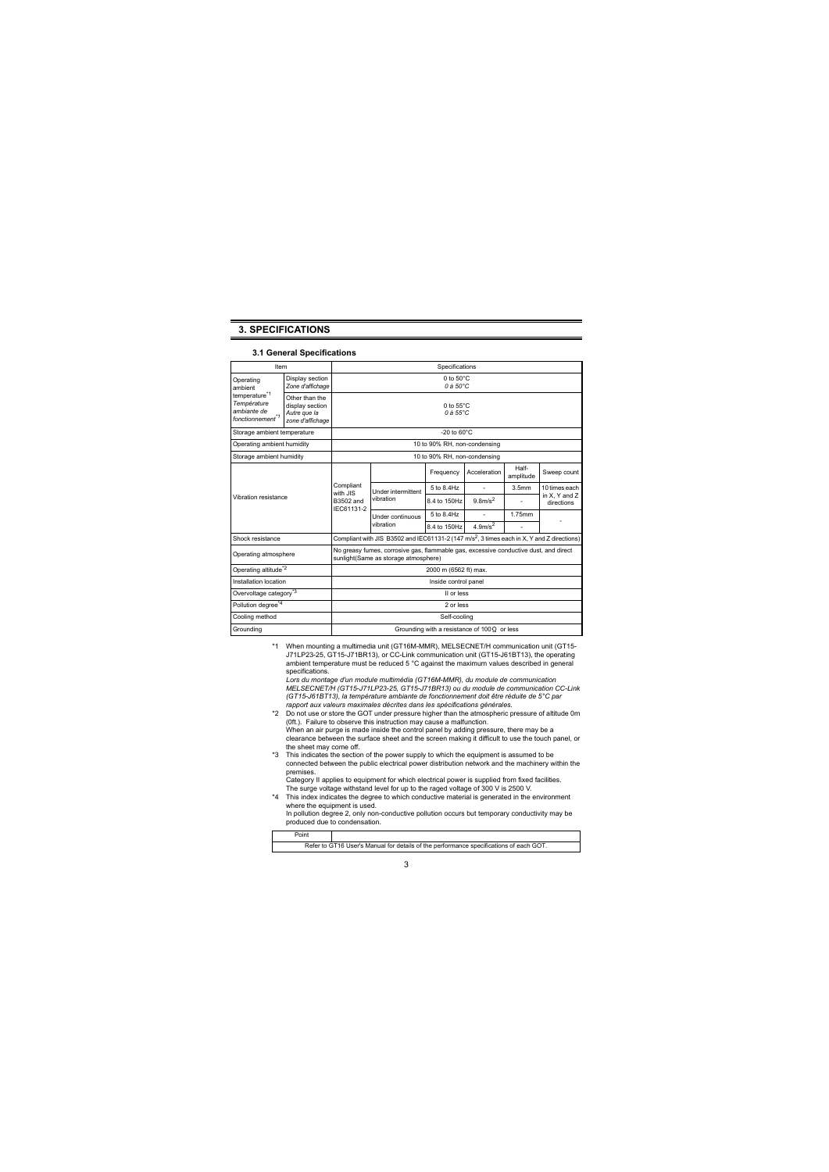## <span id="page-11-0"></span>**3. SPECIFICATIONS**

#### **3.1 General Specifications**

<span id="page-11-1"></span>

| Item                                                                                    |                                                                       | Specifications                                    |                                                                                                                              |                              |                                 |                    |                             |
|-----------------------------------------------------------------------------------------|-----------------------------------------------------------------------|---------------------------------------------------|------------------------------------------------------------------------------------------------------------------------------|------------------------------|---------------------------------|--------------------|-----------------------------|
| Operating<br>ambient                                                                    | Display section<br>Zone d'affichage                                   |                                                   | 0 to $50^{\circ}$ C<br>$0A50^{\circ}$ C                                                                                      |                              |                                 |                    |                             |
| temperature <sup>*1</sup><br>Température<br>ambiante de<br>fonctionnement <sup>*1</sup> | Other than the<br>display section<br>Autre que la<br>zone d'affichage |                                                   | $0$ to $55^{\circ}$ C<br>$0A.55^{\circ}$ C                                                                                   |                              |                                 |                    |                             |
| Storage ambient temperature                                                             |                                                                       |                                                   |                                                                                                                              | $-20$ to $60^{\circ}$ C      |                                 |                    |                             |
| Operating ambient humidity                                                              |                                                                       |                                                   |                                                                                                                              | 10 to 90% RH, non-condensing |                                 |                    |                             |
| Storage ambient humidity                                                                |                                                                       |                                                   |                                                                                                                              | 10 to 90% RH, non-condensing |                                 |                    |                             |
|                                                                                         |                                                                       |                                                   |                                                                                                                              | Frequency                    | Acceleration                    | Half-<br>amplitude | Sweep count                 |
|                                                                                         |                                                                       | Compliant<br>with .JIS<br>B3502 and<br>IFC61131-2 | <b>Under intermittent</b><br>vibration                                                                                       | 5 to 8 4Hz                   |                                 | 3.5mm              | 10 times each               |
| Vibration resistance                                                                    |                                                                       |                                                   |                                                                                                                              | 8.4 to 150Hz                 | 9.8 <sub>m/s</sub> <sup>2</sup> |                    | in X, Y and Z<br>directions |
|                                                                                         |                                                                       |                                                   | Under continuous<br>vibration                                                                                                | 5 to 8 4Hz                   |                                 | 1.75mm             |                             |
|                                                                                         |                                                                       |                                                   |                                                                                                                              | 8.4 to 150Hz                 | $4.9$ m/s <sup>2</sup>          |                    |                             |
| Shock resistance                                                                        |                                                                       |                                                   | Compliant with JIS B3502 and IEC61131-2 (147 m/s <sup>2</sup> , 3 times each in X, Y and Z directions)                       |                              |                                 |                    |                             |
| Operating atmosphere                                                                    |                                                                       |                                                   | No greasy fumes, corrosive gas, flammable gas, excessive conductive dust, and direct<br>sunlight(Same as storage atmosphere) |                              |                                 |                    |                             |
| Operating altitude <sup>*2</sup>                                                        |                                                                       |                                                   |                                                                                                                              | 2000 m (6562 ft) max.        |                                 |                    |                             |
| Installation location                                                                   |                                                                       | Inside control panel                              |                                                                                                                              |                              |                                 |                    |                             |
| Overvoltage category <sup>*3</sup>                                                      |                                                                       | II or less                                        |                                                                                                                              |                              |                                 |                    |                             |
| Pollution degree <sup>*4</sup>                                                          |                                                                       | 2 or less                                         |                                                                                                                              |                              |                                 |                    |                             |
| Cooling method                                                                          |                                                                       | Self-cooling                                      |                                                                                                                              |                              |                                 |                    |                             |
| Grounding                                                                               |                                                                       | Grounding with a resistance of $100Q$ or less     |                                                                                                                              |                              |                                 |                    |                             |

\*1 When mounting a multimedia unit (GT16M-MMR), MELSECNET/H communication unit (GT15- J71LP23-25, GT15-J71BR13), or CC-Link communication unit (GT15-J61BT13), the operating ambient temperature must be reduced 5 °C against the maximum values described in general specifications.

*Lors du montage d'un module multimédia (GT16M-MMR), du module de communication MELSECNET/H (GT15-J71LP23-25, GT15-J71BR13) ou du module de communication CC-Link (GT15-J61BT13), la température ambiante de fonctionnement doit être réduite de 5°C par rapport aux valeurs maximales décrites dans les spécifications générales.*

- \*2 Do not use or store the GOT under pressure higher than the atmospheric pressure of altitude 0m (0ft.). Failure to observe this instruction may cause a malfunction. When an air purge is made inside the control panel by adding pressure, there may be a clearance between the surface sheet and the screen making it difficult to use the touch panel, or the sheet may come off.
- \*3 This indicates the section of the power supply to which the equipment is assumed to be connected between the public electrical power distribution network and the machinery within the premises.

Category II applies to equipment for which electrical power is supplied from fixed facilities. The surge voltage withstand level for up to the raged voltage of 300 V is 2500 V.

\*4 This index indicates the degree to which conductive material is generated in the environment where the equipment is used.

In pollution degree 2, only non-conductive pollution occurs but temporary conductivity may be produced due to condensation.

| Point                                                                                  |  |  |  |
|----------------------------------------------------------------------------------------|--|--|--|
| Refer to GT16 User's Manual for details of the performance specifications of each GOT. |  |  |  |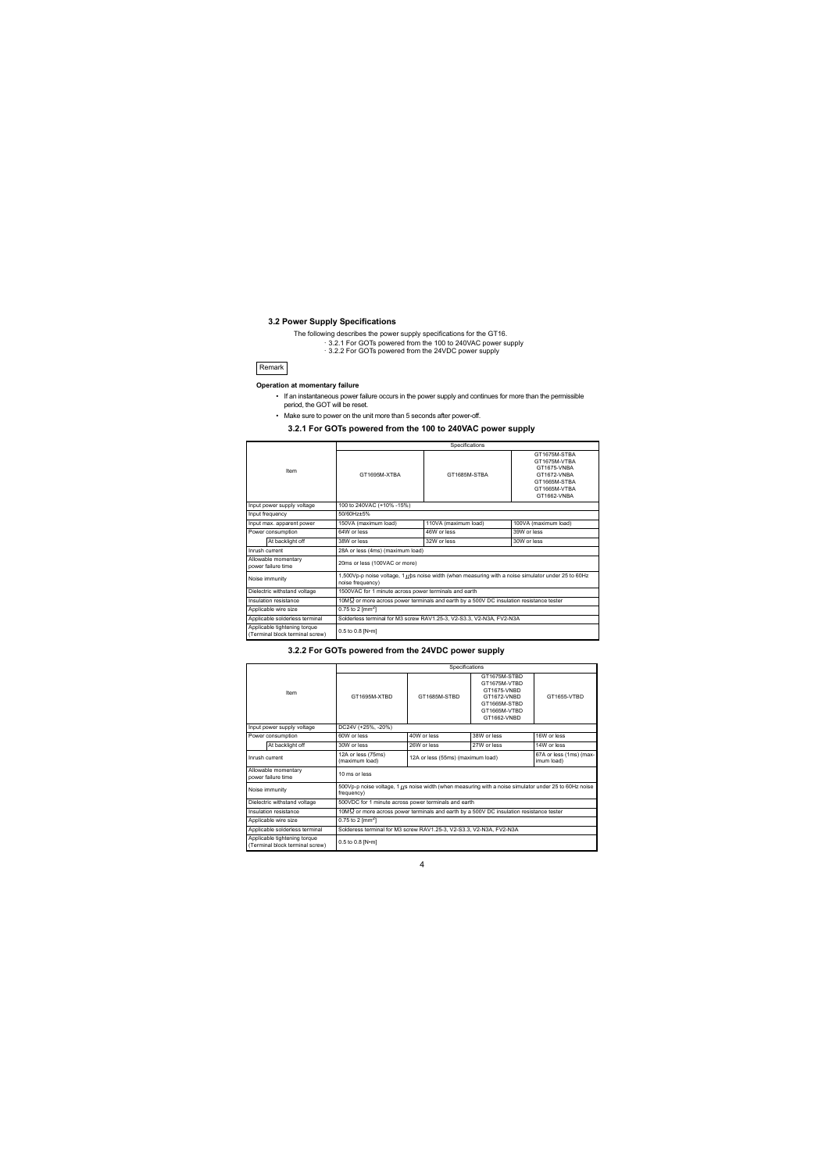#### <span id="page-12-0"></span>**3.2 Power Supply Specifications**

The following describes the power supply specifications for the GT16.

- ・[3.2.1 For GOTs powered from the 100 to 240VAC power supply](#page-12-1)
- ・[3.2.2 For GOTs powered from the 24VDC power supply](#page-12-2)

#### Remark

#### **Operation at momentary failure**

- If an instantaneous power failure occurs in the power supply and continues for more than the permissible period, the GOT will be reset.
- Make sure to power on the unit more than 5 seconds after power-off.

#### **3.2.1 For GOTs powered from the 100 to 240VAC power supply**

<span id="page-12-1"></span>

| Item                                                            |                              |                                                                                                                           | Specifications       |                                                                                                           |  |  |
|-----------------------------------------------------------------|------------------------------|---------------------------------------------------------------------------------------------------------------------------|----------------------|-----------------------------------------------------------------------------------------------------------|--|--|
|                                                                 |                              | GT1695M-XTRA                                                                                                              | GT1685M-STBA         | GT1675M-STRA<br>GT1675M-VTBA<br>GT1675-VNBA<br>GT1672-VNBA<br>GT1665M-STRA<br>GT1665M-VTRA<br>GT1662-VNBA |  |  |
|                                                                 | Input power supply voltage   | 100 to 240VAC (+10% -15%)                                                                                                 |                      |                                                                                                           |  |  |
| Input frequency                                                 |                              | 50/60Hz+5%                                                                                                                |                      |                                                                                                           |  |  |
|                                                                 | Input max. apparent power    | 150VA (maximum load)                                                                                                      | 110VA (maximum load) | 100VA (maximum load)                                                                                      |  |  |
| Power consumption                                               |                              | 64W or less                                                                                                               | 46W or less          | 39W or less                                                                                               |  |  |
|                                                                 | At backlight off             | 38W or less                                                                                                               | 32W or less          | 30W or less                                                                                               |  |  |
| Inrush current                                                  |                              | 28A or less (4ms) (maximum load)                                                                                          |                      |                                                                                                           |  |  |
| Allowable momentary<br>power failure time                       |                              | 20ms or less (100VAC or more)                                                                                             |                      |                                                                                                           |  |  |
| Noise immunity                                                  |                              | 1,500Vp-p noise voltage, 1 ((b) s noise width (when measuring with a noise simulator under 25 to 60Hz<br>noise frequency) |                      |                                                                                                           |  |  |
|                                                                 | Dielectric withstand voltage | 1500VAC for 1 minute across power terminals and earth                                                                     |                      |                                                                                                           |  |  |
|                                                                 | Insulation resistance        | 10M $\Omega$ or more across power terminals and earth by a 500V DC insulation resistance tester                           |                      |                                                                                                           |  |  |
| Applicable wire size                                            |                              | $0.75$ to 2 [mm <sup>2</sup> ]                                                                                            |                      |                                                                                                           |  |  |
| Applicable solderless terminal                                  |                              | Solderless terminal for M3 screw RAV1.25-3, V2-S3.3, V2-N3A, FV2-N3A                                                      |                      |                                                                                                           |  |  |
| Applicable tightening torque<br>(Terminal block terminal screw) |                              | 0.5 to 0.8 [N-m]                                                                                                          |                      |                                                                                                           |  |  |

#### **3.2.2 For GOTs powered from the 24VDC power supply**

<span id="page-12-2"></span>

| Item                                      |                                                                 |                                                                                                                      | Specifications                    |                                                                                                           |                                       |  |
|-------------------------------------------|-----------------------------------------------------------------|----------------------------------------------------------------------------------------------------------------------|-----------------------------------|-----------------------------------------------------------------------------------------------------------|---------------------------------------|--|
|                                           |                                                                 | GT1695M-XTBD                                                                                                         | GT1685M-STBD                      | GT1675M-STBD<br>GT1675M-VTBD<br>GT1675-VNBD<br>GT1672-VNBD<br>GT1665M-STBD<br>GT1665M-VTBD<br>GT1662-VNBD | GT1655-VTBD                           |  |
|                                           | Input power supply voltage                                      | DC24V (+25%, -20%)                                                                                                   |                                   |                                                                                                           |                                       |  |
| Power consumption                         |                                                                 | 60W or less                                                                                                          | 40W or less                       | 38W or less                                                                                               | 16W or less                           |  |
|                                           | At backlight off                                                | 30W or less                                                                                                          | 26W or less                       | 27W or less                                                                                               | 14W or less                           |  |
| Inrush current                            |                                                                 | 12A or less (75ms)<br>(maximum load)                                                                                 | 12A or less (55ms) (maximum load) |                                                                                                           | 67A or less (1ms) (max-<br>imum load) |  |
| Allowable momentary<br>power failure time |                                                                 | 10 ms or less                                                                                                        |                                   |                                                                                                           |                                       |  |
|                                           | Noise immunity                                                  | 500Vp-p noise voltage, 1 [[s noise width (when measuring with a noise simulator under 25 to 60Hz noise<br>frequency) |                                   |                                                                                                           |                                       |  |
|                                           | Dielectric withstand voltage                                    | 500VDC for 1 minute across power terminals and earth                                                                 |                                   |                                                                                                           |                                       |  |
| Insulation resistance                     |                                                                 | 10M $\Omega$ or more across power terminals and earth by a 500V DC insulation resistance tester                      |                                   |                                                                                                           |                                       |  |
|                                           | Applicable wire size                                            | $0.75$ to 2 $\text{Im}$ m <sup>2</sup> l                                                                             |                                   |                                                                                                           |                                       |  |
|                                           | Applicable solderless terminal                                  | Solderess terminal for M3 screw RAV1.25-3, V2-S3.3, V2-N3A, FV2-N3A                                                  |                                   |                                                                                                           |                                       |  |
|                                           | Applicable tightening torque<br>(Terminal block terminal screw) | 0.5 to 0.8 [N-m]                                                                                                     |                                   |                                                                                                           |                                       |  |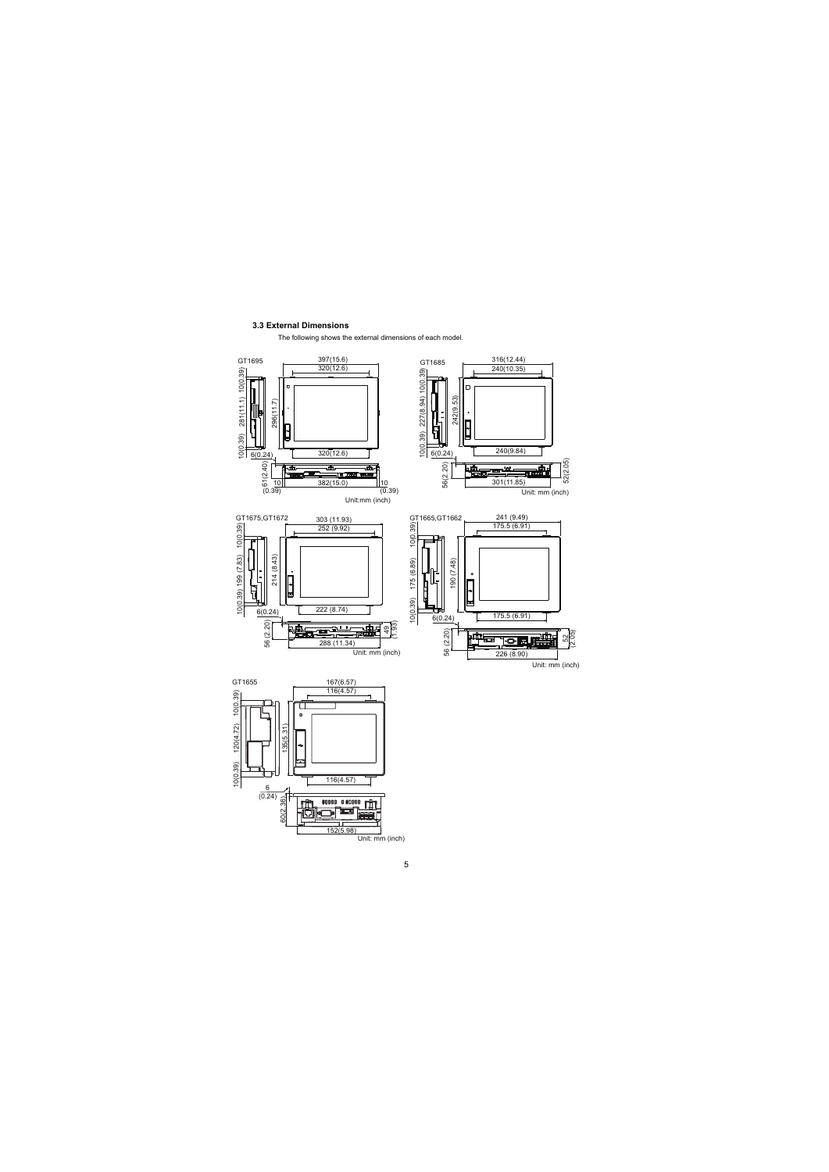#### <span id="page-13-0"></span>**3.3 External Dimensions**

The following shows the external dimensions of each model.

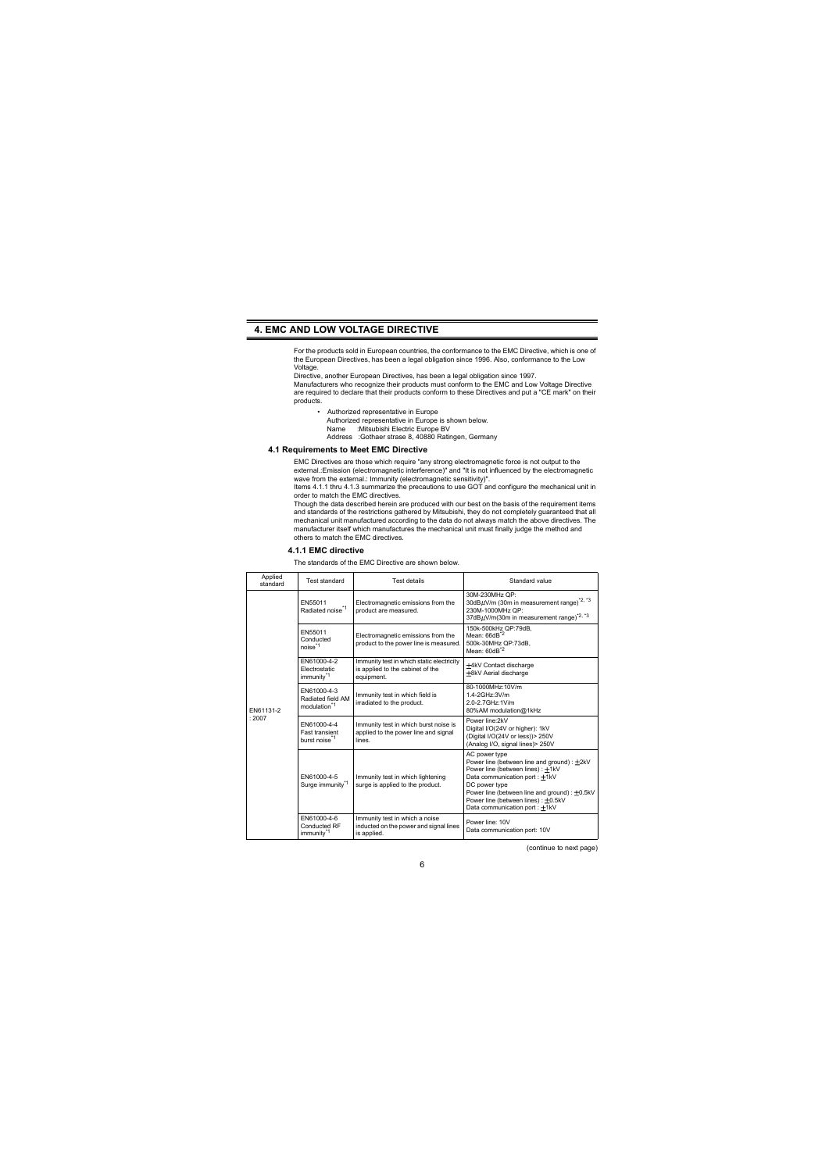## <span id="page-14-0"></span>**4. EMC AND LOW VOLTAGE DIRECTIVE**

For the products sold in European countries, the conformance to the EMC Directive, which is one of the European Directives, has been a legal obligation since 1996. Also, conformance to the Low Voltage.

Directive, another European Directives, has been a legal obligation since 1997.

Manufacturers who recognize their products must conform to the EMC and Low Voltage Directive are required to declare that their products conform to these Directives and put a "CE mark" on their products.

• Authorized representative in Europe Authorized representative in Europe is shown below.<br>Name : Mitsubishi Electric Europe BV :Mitsubishi Electric Europe BV Address :Gothaer strase 8, 40880 Ratingen, Germany

#### <span id="page-14-1"></span>**4.1 Requirements to Meet EMC Directive**

EMC Directives are those which require "any strong electromagnetic force is not output to the external.:Emission (electromagnetic interference)" and "It is not influenced by the electromagnetic wave from the external.: Immunity (electromagnetic sensitivity)".

Items 4.1.1 thru 4.1.3 summarize the precautions to use GOT and configure the mechanical unit in order to match the EMC directives.

Though the data described herein are produced with our best on the basis of the requirement items and standards of the restrictions gathered by Mitsubishi, they do not completely guaranteed that all mechanical unit manufactured according to the data do not always match the above directives. The manufacturer itself which manufactures the mechanical unit must finally judge the method and others to match the EMC directives.

#### **4.1.1 EMC directive**

The standards of the EMC Directive are shown below.

<span id="page-14-2"></span>

| Applied<br>standard | Test standard<br>Test details                                     |                                                                                             | Standard value                                                                                                                                                                                                                                                             |
|---------------------|-------------------------------------------------------------------|---------------------------------------------------------------------------------------------|----------------------------------------------------------------------------------------------------------------------------------------------------------------------------------------------------------------------------------------------------------------------------|
|                     | FN55011<br>Radiated noise <sup>*1</sup>                           | Electromagnetic emissions from the<br>product are measured.                                 | 30M-230MHz OP:<br>30dBµV/m (30m in measurement range) <sup>*2, *3</sup><br>230M-1000MHz OP:<br>37dBµV/m(30m in measurement range)*2, *3                                                                                                                                    |
|                     | FN55011<br>Conducted<br>nnise <sup>*1</sup>                       | Electromagnetic emissions from the<br>product to the power line is measured.                | 150k-500kHz QP:79dB.<br>Mean: 66dB <sup>*2</sup><br>500k-30MHz QP:73dB.<br>Mean: 60dB <sup>*2</sup>                                                                                                                                                                        |
|                     | FN61000-4-2<br>Flectrostatic<br>immunity <sup>*1</sup>            | Immunity test in which static electricity<br>is applied to the cabinet of the<br>equipment. | ±4kV Contact discharge<br><b>±8kV</b> Aerial discharge                                                                                                                                                                                                                     |
| FN61131-2           | FN61000-4-3<br>Radiated field AM<br>modulation <sup>*1</sup>      | Immunity test in which field is<br>irradiated to the product.                               | 80-1000MHz:10V/m<br>1.4-2GHz:3V/m<br>2.0-2.7GHz:1V/m<br>80%AM modulation@1kHz                                                                                                                                                                                              |
| : 2007              | FN61000-4-4<br><b>Fast transient</b><br>burst noise <sup>*1</sup> | Immunity test in which burst noise is<br>applied to the power line and signal<br>lines.     | Power line:2kV<br>Digital I/O(24V or higher): 1kV<br>(Digital I/O(24V or less))> 250V<br>(Analog I/O, signal lines) > 250V                                                                                                                                                 |
|                     | FN61000-4-5<br>Surge immunity <sup>*1</sup>                       | Immunity test in which lightening<br>surge is applied to the product.                       | AC power type<br>Power line (between line and ground) : +2kV<br>Power line (between lines): +1kV<br>Data communication port: +1kV<br>DC power type<br>Power line (between line and ground) : ±0.5kV<br>Power line (between lines): +0.5kV<br>Data communication port: +1kV |
|                     | FN61000-4-6<br>Conducted RF<br>immunity <sup>*1</sup>             | Immunity test in which a noise<br>inducted on the power and signal lines<br>is applied.     | Power line: 10V<br>Data communication port: 10V                                                                                                                                                                                                                            |

(continue to next page)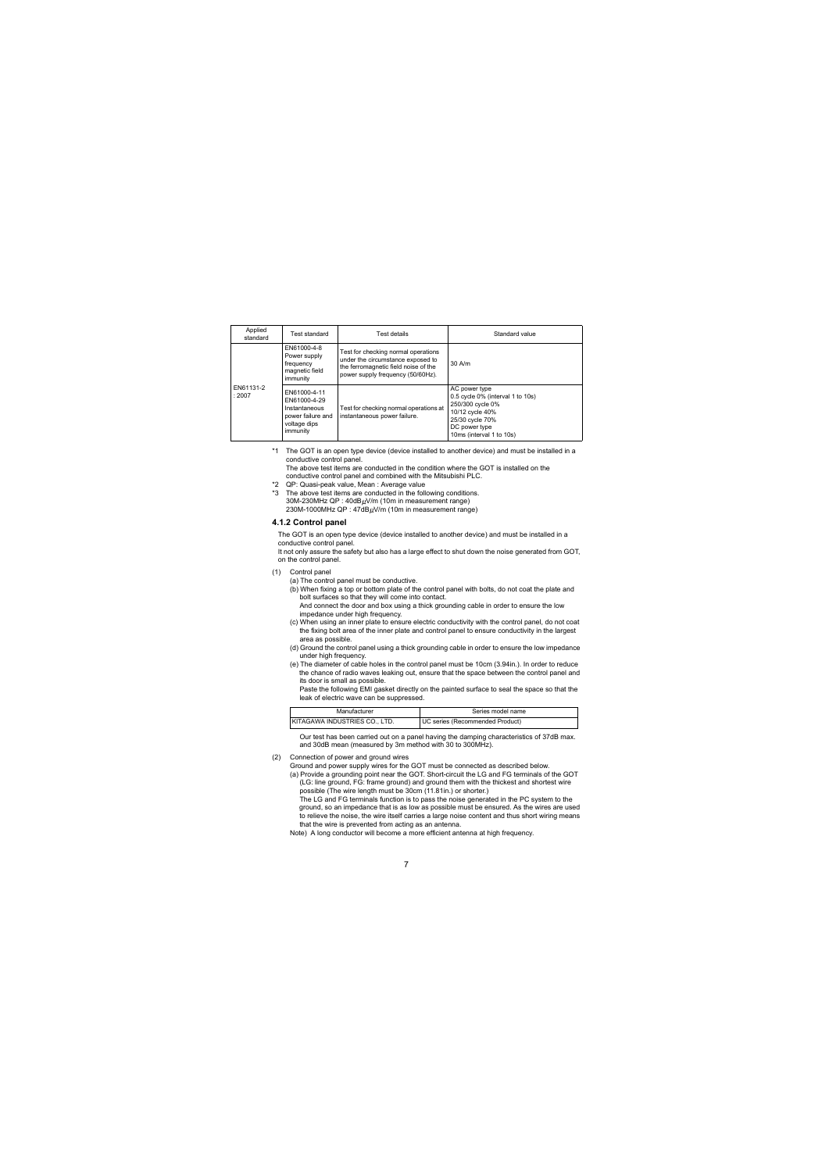| Applied<br>standard | Test standard                                                                                                                                                                                                                   | Test details                                                           | Standard value                                                                                                                                           |  |
|---------------------|---------------------------------------------------------------------------------------------------------------------------------------------------------------------------------------------------------------------------------|------------------------------------------------------------------------|----------------------------------------------------------------------------------------------------------------------------------------------------------|--|
|                     | FN61000-4-8<br>Test for checking normal operations<br>Power supply<br>under the circumstance exposed to<br>frequency<br>the ferromagnetic field noise of the<br>magnetic field<br>power supply frequency (50/60Hz).<br>immunity |                                                                        | $30$ A/m                                                                                                                                                 |  |
| FN61131-2<br>:2007  | FN61000-4-11<br>FN61000-4-29<br>Instantaneous<br>power failure and<br>voltage dips<br>immunity                                                                                                                                  | Test for checking normal operations at<br>instantaneous power failure. | AC power type<br>0.5 cycle 0% (interval 1 to 10s)<br>250/300 cvcle 0%<br>10/12 cycle 40%<br>25/30 cvcle 70%<br>DC power type<br>10ms (interval 1 to 10s) |  |

\*1 The GOT is an open type device (device installed to another device) and must be installed in a conductive control panel.

The above test items are conducted in the condition where the GOT is installed on the conductive control panel and combined with the Mitsubishi PLC.

- \*2 QP: Quasi-peak value, Mean : Average value
- \*3 The above test items are conducted in the following conditions.  $30M-230MHz$  QP :  $40dB\mu$ V/m (10m in measurement range) 230M-1000MHz QP: 47dBµV/m (10m in measurement range)

#### <span id="page-15-0"></span>**4.1.2 Control panel**

The GOT is an open type device (device installed to another device) and must be installed in a conductive control panel.

It not only assure the safety but also has a large effect to shut down the noise generated from GOT, on the control panel.

- (1) Control panel
	- (a) The control panel must be conductive.
	- (b) When fixing a top or bottom plate of the control panel with bolts, do not coat the plate and bolt surfaces so that they will come into contact. And connect the door and box using a thick grounding cable in order to ensure the low impedance under high frequency.
	- (c) When using an inner plate to ensure electric conductivity with the control panel, do not coat the fixing bolt area of the inner plate and control panel to ensure conductivity in the largest area as possible.
	- (d) Ground the control panel using a thick grounding cable in order to ensure the low impedance under high frequency.
	- (e) The diameter of cable holes in the control panel must be 10cm (3.94in.). In order to reduce the chance of radio waves leaking out, ensure that the space between the control panel and its door is small as possible.

 Paste the following EMI gasket directly on the painted surface to seal the space so that the leak of electric wave can be suppressed.

| Manufacturer                  | Series model name               |
|-------------------------------|---------------------------------|
| KITAGAWA INDUSTRIES CO., LTD. | UC series (Recommended Product) |

 Our test has been carried out on a panel having the damping characteristics of 37dB max. and 30dB mean (measured by 3m method with 30 to 300MHz).

#### <span id="page-15-1"></span>(2) Connection of power and ground wires

Ground and power supply wires for the GOT must be connected as described below.

(a) Provide a grounding point near the GOT. Short-circuit the LG and FG terminals of the GOT (LG: line ground, FG: frame ground) and ground them with the thickest and shortest wire possible (The wire length must be 30cm (11.81in.) or shorter.)

 The LG and FG terminals function is to pass the noise generated in the PC system to the ground, so an impedance that is as low as possible must be ensured. As the wires are used to relieve the noise, the wire itself carries a large noise content and thus short wiring means that the wire is prevented from acting as an antenna.

Note) A long conductor will become a more efficient antenna at high frequency.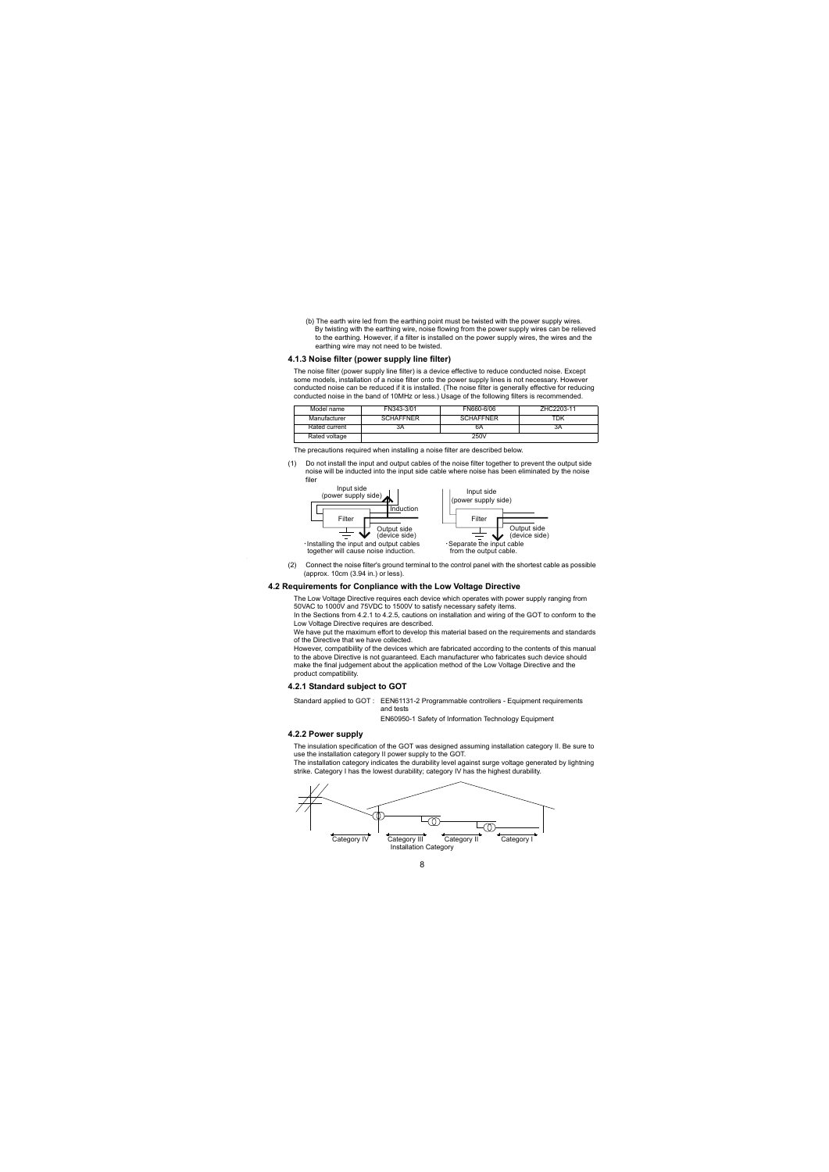(b) The earth wire led from the earthing point must be twisted with the power supply wires. By twisting with the earthing wire, noise flowing from the power supply wires can be relieved to the earthing. However, if a filter is installed on the power supply wires, the wires and the earthing wire may not need to be twisted.

#### <span id="page-16-0"></span>**4.1.3 Noise filter (power supply line filter)**

The noise filter (power supply line filter) is a device effective to reduce conducted noise. Except some models, installation of a noise filter onto the power supply lines is not necessary. However conducted noise can be reduced if it is installed. (The noise filter is generally effective for reducing conducted noise in the band of 10MHz or less.) Usage of the following filters is recommended.

| FN343-3/01<br>Model name |                  | FN660-6/06       | 7HC2203-11 |
|--------------------------|------------------|------------------|------------|
| Manufacturer             | <b>SCHAFFNER</b> | <b>SCHAFFNER</b> | TDK        |
| Rated current            | 3A               | 6A               | 3A         |
| Rated voltage            |                  | 250V             |            |

The precautions required when installing a noise filter are described below.

(1) Do not install the input and output cables of the noise filter together to prevent the output side noise will be inducted into the input side cable where noise has been eliminated by the noise filer



(2) Connect the noise filter's ground terminal to the control panel with the shortest cable as possible (approx. 10cm (3.94 in.) or less).

#### <span id="page-16-1"></span>**4.2 Requirements for Conpliance with the Low Voltage Directive**

The Low Voltage Directive requires each device which operates with power supply ranging from 50VAC to 1000V and 75VDC to 1500V to satisfy necessary safety items.

In the Sections from 4.2.1 to 4.2.5, cautions on installation and wiring of the GOT to conform to the Low Voltage Directive requires are described.

We have put the maximum effort to develop this material based on the requirements and standards of the Directive that we have collected.

However, compatibility of the devices which are fabricated according to the contents of this manual to the above Directive is not guaranteed. Each manufacturer who fabricates such device should make the final judgement about the application method of the Low Voltage Directive and the product compatibility.

#### <span id="page-16-2"></span>**4.2.1 Standard subject to GOT**

Standard applied to GOT : EEN61131-2 Programmable controllers - Equipment requirements and tests

EN60950-1 Safety of Information Technology Equipment

#### <span id="page-16-3"></span>**4.2.2 Power supply**

The insulation specification of the GOT was designed assuming installation category II. Be sure to use the installation category II power supply to the GOT.

The installation category indicates the durability level against surge voltage generated by lightning strike. Category I has the lowest durability; category IV has the highest durability.

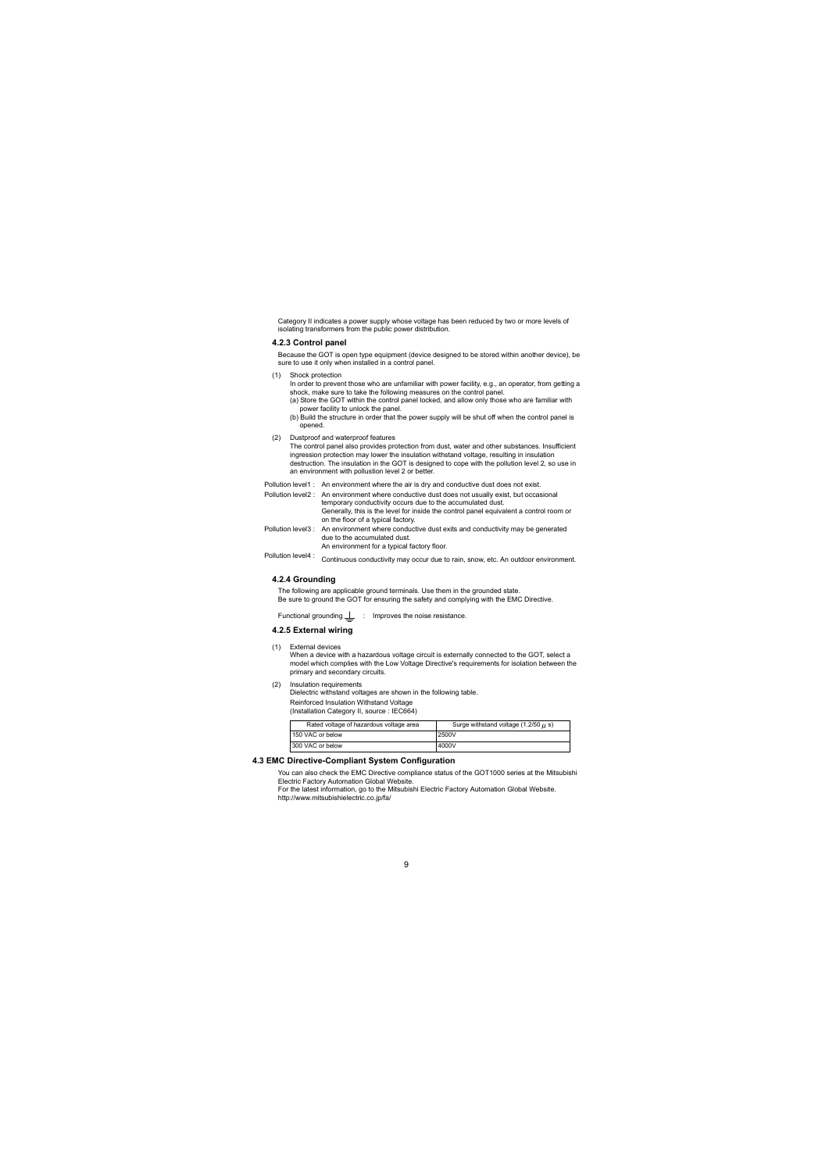Category II indicates a power supply whose voltage has been reduced by two or more levels of isolating transformers from the public power distribution.

#### <span id="page-17-0"></span>**4.2.3 Control panel**

Because the GOT is open type equipment (device designed to be stored within another device), be sure to use it only when installed in a control panel.

(1) Shock protection

In order to prevent those who are unfamiliar with power facility, e.g., an operator, from getting a shock, make sure to take the following measures on the control panel.

- (a) Store the GOT within the control panel locked, and allow only those who are familiar with power facility to unlock the panel.
- (b) Build the structure in order that the power supply will be shut off when the control panel is opened.
- (2) Dustproof and waterproof features

The control panel also provides protection from dust, water and other substances. Insufficient ingression protection may lower the insulation withstand voltage, resulting in insulation destruction. The insulation in the GOT is designed to cope with the pollution level 2, so use in an environment with pollustion level 2 or better.

Pollution level1 : An environment where the air is dry and conductive dust does not exist.

Pollution level2 : An environment where conductive dust does not usually exist, but occasional temporary conductivity occurs due to the accumulated dust. Generally, this is the level for inside the control panel equivalent a control room or on the floor of a typical factory.

Pollution level3 : An environment where conductive dust exits and conductivity may be generated due to the accumulated dust.

An environment for a typical factory floor.

<span id="page-17-1"></span>Pollution level4 : Continuous conductivity may occur due to rain, snow, etc. An outdoor environment.

#### **4.2.4 Grounding**

The following are applicable ground terminals. Use them in the grounded state. Be sure to ground the GOT for ensuring the safety and complying with the EMC Directive.

Functional grounding  $\perp$  : Improves the noise resistance.

#### <span id="page-17-2"></span>**4.2.5 External wiring**

(1) External devices

When a device with a hazardous voltage circuit is externally connected to the GOT, select a model which complies with the Low Voltage Directive's requirements for isolation between the primary and secondary circuits.

(2) Insulation requirements

Dielectric withstand voltages are shown in the following table. Reinforced Insulation Withstand Voltage (Installation Category II, source : IEC664)

| Rated voltage of hazardous voltage area | Surge withstand voltage $(1.2/50 \mu s)$ |
|-----------------------------------------|------------------------------------------|
| 150 VAC or below                        | 2500V                                    |
| 300 VAC or below                        | 4000V                                    |

#### <span id="page-17-3"></span>**4.3 EMC Directive-Compliant System Configuration**

You can also check the EMC Directive compliance status of the GOT1000 series at the Mitsubishi Electric Factory Automation Global Website.

For the latest information, go to the Mitsubishi Electric Factory Automation Global Website. http://www.mitsubishielectric.co.jp/fa/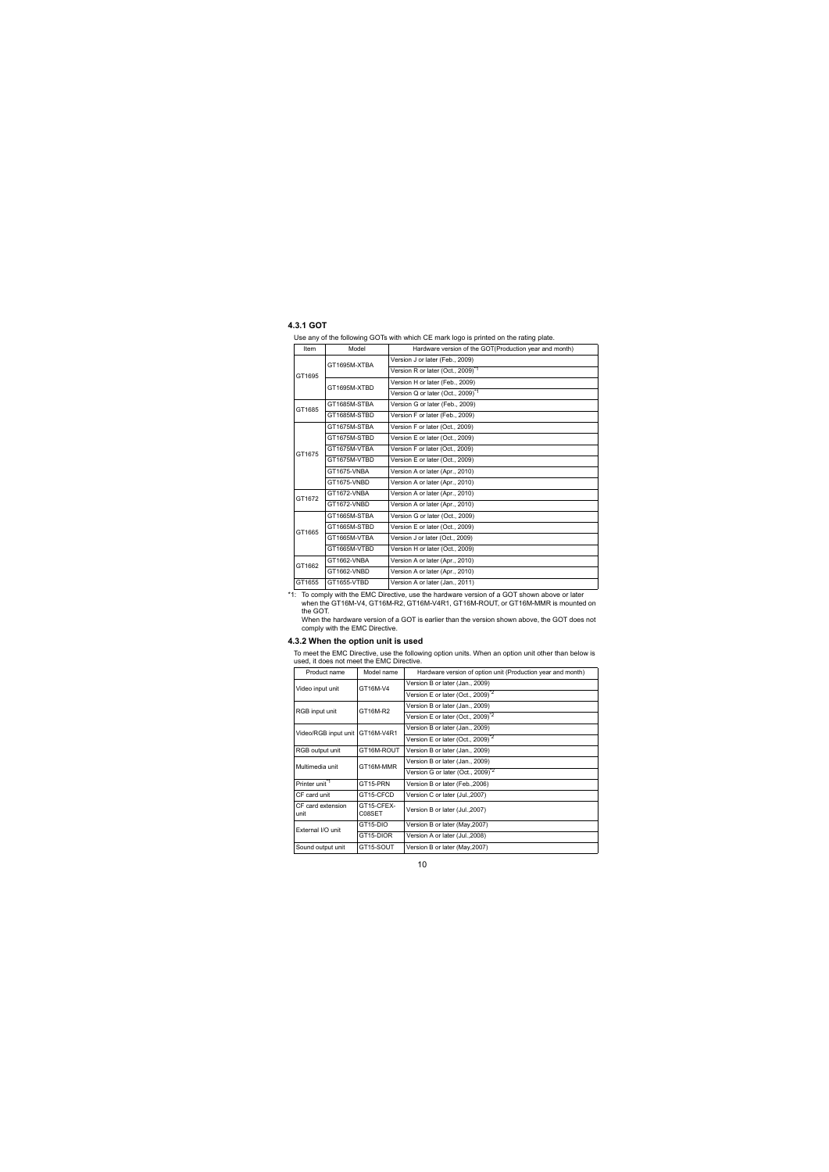#### <span id="page-18-0"></span>**4.3.1 GOT**

Use any of the following GOTs with which CE mark logo is printed on the rating plate.

| Model<br>Item |              | Hardware version of the GOT(Production year and month) |
|---------------|--------------|--------------------------------------------------------|
| GT1695        | GT1695M-XTBA | Version J or later (Feb., 2009)                        |
|               |              | Version R or later (Oct., 2009) <sup>*1</sup>          |
|               | GT1695M-XTBD | Version H or later (Feb., 2009)                        |
|               |              | Version Q or later (Oct., 2009) <sup>*1</sup>          |
| GT1685        | GT1685M-STBA | Version G or later (Feb., 2009)                        |
|               | GT1685M-STBD | Version F or later (Feb., 2009)                        |
|               | GT1675M-STBA | Version F or later (Oct., 2009)                        |
|               | GT1675M-STBD | Version E or later (Oct., 2009)                        |
| GT1675        | GT1675M-VTBA | Version F or later (Oct., 2009)                        |
|               | GT1675M-VTBD | Version E or later (Oct., 2009)                        |
|               | GT1675-VNBA  | Version A or later (Apr., 2010)                        |
|               | GT1675-VNBD  | Version A or later (Apr., 2010)                        |
| GT1672        | GT1672-VNBA  | Version A or later (Apr., 2010)                        |
|               | GT1672-VNBD  | Version A or later (Apr., 2010)                        |
|               | GT1665M-STBA | Version G or later (Oct., 2009)                        |
| GT1665        | GT1665M-STBD | Version E or later (Oct., 2009)                        |
|               | GT1665M-VTBA | Version J or later (Oct., 2009)                        |
|               | GT1665M-VTBD | Version H or later (Oct., 2009)                        |
| GT1662        | GT1662-VNBA  | Version A or later (Apr., 2010)                        |
|               | GT1662-VNBD  | Version A or later (Apr., 2010)                        |
| GT1655        | GT1655-VTBD  | Version A or later (Jan., 2011)                        |

\*1: To comply with the EMC Directive, use the hardware version of a GOT shown above or later when the GT16M-V4, GT16M-R2, GT16M-V4R1, GT16M-ROUT, or GT16M-MMR is mounted on the GOT.

When the hardware version of a GOT is earlier than the version shown above, the GOT does not comply with the EMC Directive.

#### <span id="page-18-1"></span>**4.3.2 When the option unit is used**

To meet the EMC Directive, use the following option units. When an option unit other than below is used, it does not meet the EMC Directive.

| Product name<br>Model name    |                             | Hardware version of option unit (Production year and month) |
|-------------------------------|-----------------------------|-------------------------------------------------------------|
| Video input unit              | GT16M-V4                    | Version B or later (Jan., 2009)                             |
|                               |                             | Version E or later (Oct., 2009) <sup>*2</sup>               |
| RGB input unit                | GT16M-R2                    | Version B or later (Jan., 2009)                             |
|                               |                             | Version E or later (Oct., 2009) <sup>*2</sup>               |
| Video/RGB input unit          | GT16M-V4R1                  | Version B or later (Jan., 2009)                             |
|                               |                             | Version E or later (Oct., 2009) <sup>*2</sup>               |
| GT16M-ROUT<br>RGB output unit |                             | Version B or later (Jan., 2009)                             |
| Multimedia unit               | GT16M-MMR                   | Version B or later (Jan., 2009)                             |
|                               |                             | Version G or later (Oct., 2009) <sup>2</sup>                |
| Printer unit <sup>*1</sup>    | GT15-PRN                    | Version B or later (Feb., 2006)                             |
| CF card unit                  | GT15-CFCD                   | Version C or later (Jul., 2007)                             |
| CF card extension<br>unit     | GT15-CFFX-<br><b>CO8SET</b> | Version B or later (Jul., 2007)                             |
| External I/O unit             | GT15-DIO                    | Version B or later (May, 2007)                              |
|                               | GT15-DIOR                   | Version A or later (Jul., 2008)                             |
| Sound output unit             | GT15-SOUT                   | Version B or later (May, 2007)                              |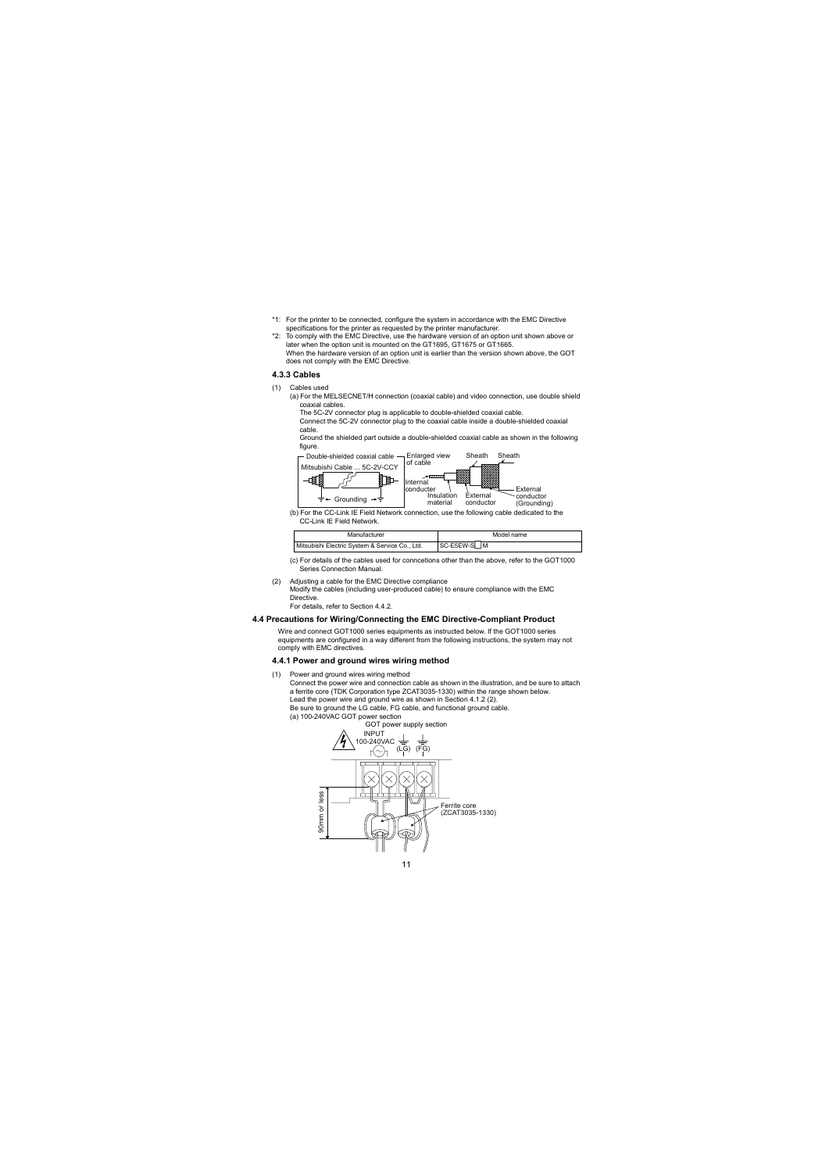- \*1: For the printer to be connected, configure the system in accordance with the EMC Directive specifications for the printer as requested by the printer manufacturer.
- \*2: To comply with the EMC Directive, use the hardware version of an option unit shown above or later when the option unit is mounted on the GT1695, GT1675 or GT1665. When the hardware version of an option unit is earlier than the version shown above, the GOT does not comply with the EMC Directive.

#### <span id="page-19-0"></span>**4.3.3 Cables**

- (1) Cables used
	- (a) For the MELSECNET/H connection (coaxial cable) and video connection, use double shield coaxial cables.

The 5C-2V connector plug is applicable to double-shielded coaxial cable.

 Connect the 5C-2V connector plug to the coaxial cable inside a double-shielded coaxial cable.

 Ground the shielded part outside a double-shielded coaxial cable as shown in the following figure.



(b) For the CC-Link IE Field Network connection, use the following cable dedicated to the CC-Link IE Field Network.

| Manufacturer                                   | Model name  |  |  |
|------------------------------------------------|-------------|--|--|
| Mitsubishi Electric System & Service Co., Ltd. | SC-E5EW-S M |  |  |

- (c) For details of the cables used for conncetions other than the above, refer to the GOT1000 Series Connection Manual.
- (2) Adjusting a cable for the EMC Directive compliance
	- Modify the cables (including user-produced cable) to ensure compliance with the EMC Directive.

For details, refer to Section 4.4.2.

#### <span id="page-19-1"></span>**4.4 Precautions for Wiring/Connecting the EMC Directive-Compliant Product**

Wire and connect GOT1000 series equipments as instructed below. If the GOT1000 series equipments are configured in a way different from the following instructions, the system may not comply with EMC directives.

#### <span id="page-19-2"></span>**4.4.1 Power and ground wires wiring method**

- (1) Power and ground wires wiring method
	- Connect the power wire and connection cable as shown in the illustration, and be sure to attach a ferrite core (TDK Corporation type ZCAT3035-1330) within the range shown below. Lead the power wire and ground wire as shown in Section [4.1.2](#page-15-0) [\(2\)](#page-15-1).

Be sure to ground the LG cable, FG cable, and functional ground cable.

(a) 100-240VAC GOT power section

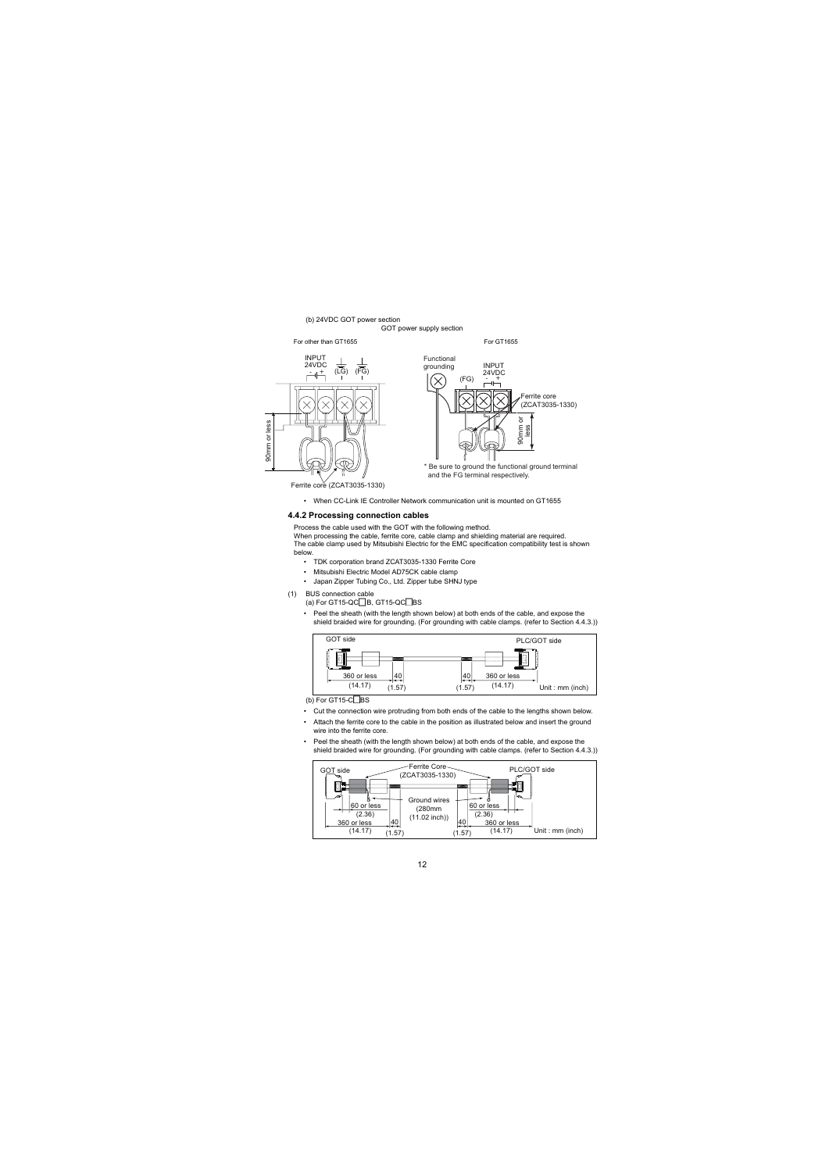#### (b) 24VDC GOT power section

GOT power supply section

For other than GT1655 For GT1655





and the FG terminal respectively.

Ferrite core (ZCAT3035-1330)

• When CC-Link IE Controller Network communication unit is mounted on GT1655

#### <span id="page-20-0"></span>**4.4.2 Processing connection cables**

Process the cable used with the GOT with the following method.

When processing the cable, ferrite core, cable clamp and shielding material are required. The cable clamp used by Mitsubishi Electric for the EMC specification compatibility test is shown below.

- TDK corporation brand ZCAT3035-1330 Ferrite Core
- Mitsubishi Electric Model AD75CK cable clamp
- Japan Zipper Tubing Co., Ltd. Zipper tube SHNJ type
- (1) BUS connection cable
	- (a) For GT15-QC $\Box$ B, GT15-QC $\Box$ BS
	- Peel the sheath (with the length shown below) at both ends of the cable, and expose the shield braided wire for grounding. (For grounding with cable clamps. (refer to Section 4.4.3.))



 $(b)$  For GT15-C $\Box$ BS

- Cut the connection wire protruding from both ends of the cable to the lengths shown below.
- Attach the ferrite core to the cable in the position as illustrated below and insert the ground wire into the ferrite core.
- Peel the sheath (with the length shown below) at both ends of the cable, and expose the shield braided wire for grounding. (For grounding with cable clamps. (refer to Section 4.4.3.))

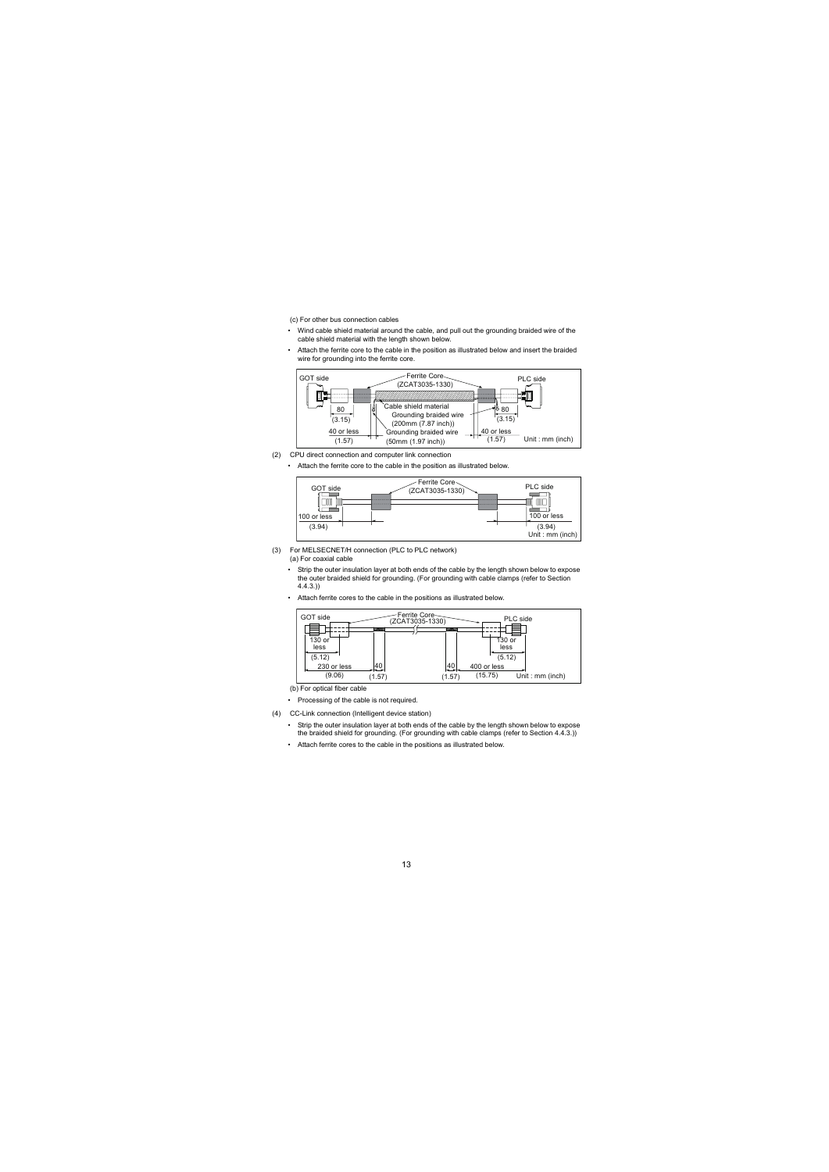(c) For other bus connection cables

- Wind cable shield material around the cable, and pull out the grounding braided wire of the cable shield material with the length shown below.
- Attach the ferrite core to the cable in the position as illustrated below and insert the braided wire for grounding into the ferrite core.



- (2) CPU direct connection and computer link connection
	- Attach the ferrite core to the cable in the position as illustrated below.



- (3) For MELSECNET/H connection (PLC to PLC network) (a) For coaxial cable
	- Strip the outer insulation layer at both ends of the cable by the length shown below to expose the outer braided shield for grounding. (For grounding with cable clamps (refer to Section 4.4.3.))
	- Attach ferrite cores to the cable in the positions as illustrated below.



(b) For optical fiber cable

- Processing of the cable is not required.
- (4) CC-Link connection (Intelligent device station)
	- Strip the outer insulation layer at both ends of the cable by the length shown below to expose the braided shield for grounding. (For grounding with cable clamps (refer to Section 4.4.3.))
	- Attach ferrite cores to the cable in the positions as illustrated below.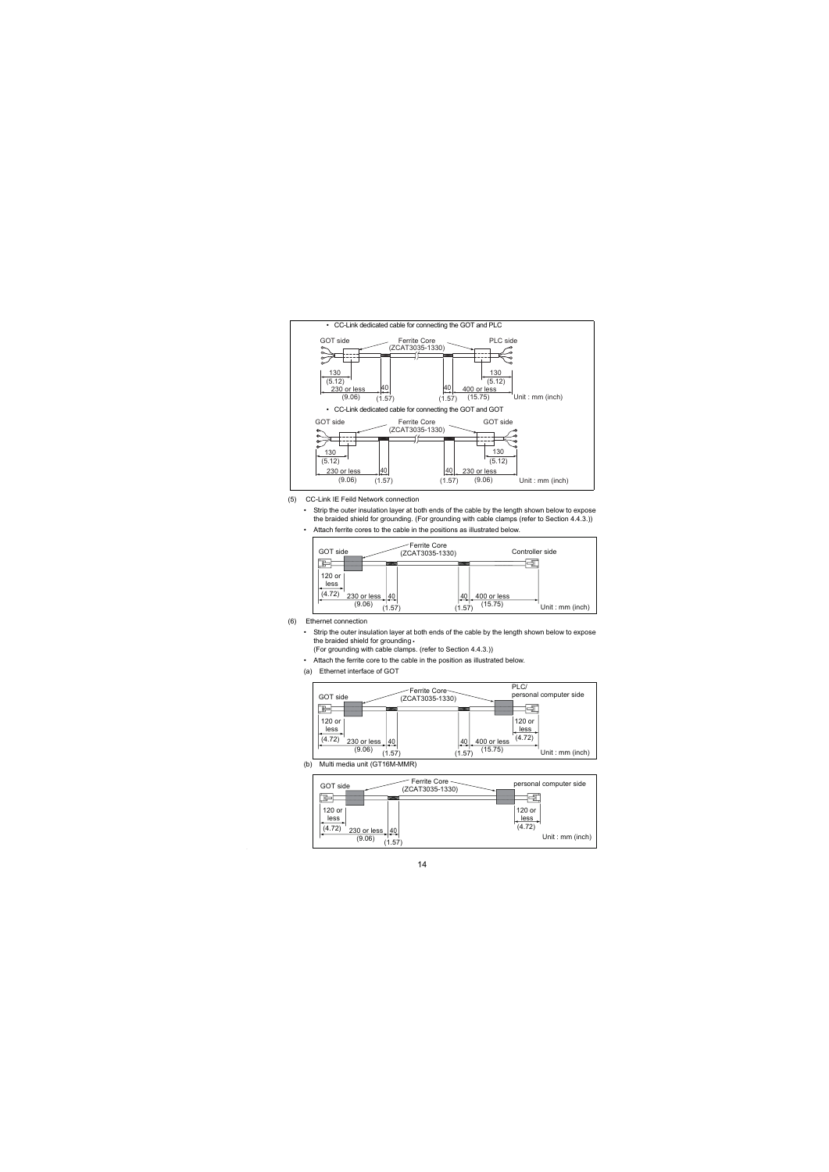

- (5) CC-Link IE Feild Network connection
	- Strip the outer insulation layer at both ends of the cable by the length shown below to expose the braided shield for grounding. (For grounding with cable clamps (refer to Section 4.4.3.))
	- Attach ferrite cores to the cable in the positions as illustrated below.



- (6) Ethernet connection
	- Strip the outer insulation layer at both ends of the cable by the length shown below to expose the braided shield for grounding. (For grounding with cable clamps. (refer to Section 4.4.3.))

• Attach the ferrite core to the cable in the position as illustrated below.

(a) Ethernet interface of GOT



(b) Multi media unit (GT16M-MMR)

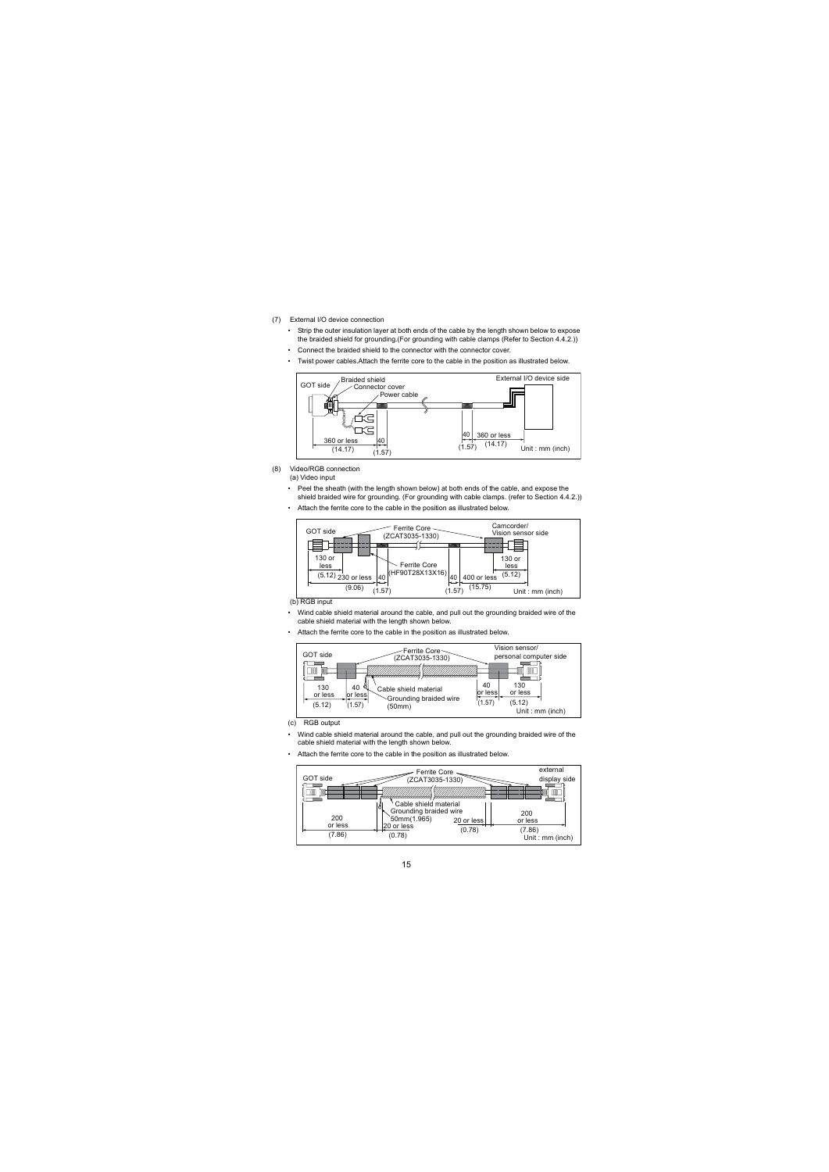- (7) External I/O device connection
	- Strip the outer insulation layer at both ends of the cable by the length shown below to expose the braided shield for grounding.(For grounding with cable clamps (Refer to Section [4.4.2](#page-24-1).))
	- Connect the braided shield to the connector with the connector cover.
	- Twist power cables.Attach the ferrite core to the cable in the position as illustrated below.



- (8) Video/RGB connection (a) Video input
	- Peel the sheath (with the length shown below) at both ends of the cable, and expose the shield braided wire for grounding. (For grounding with cable clamps. (refer to Section [4.4.2](#page-24-1).))
	- Attach the ferrite core to the cable in the position as illustrated below.



(b) RGB input

- Wind cable shield material around the cable, and pull out the grounding braided wire of the cable shield material with the length shown below.
- Attach the ferrite core to the cable in the position as illustrated below.



- (c) RGB output
- Wind cable shield material around the cable, and pull out the grounding braided wire of the cable shield material with the length shown below.
- Attach the ferrite core to the cable in the position as illustrated below.

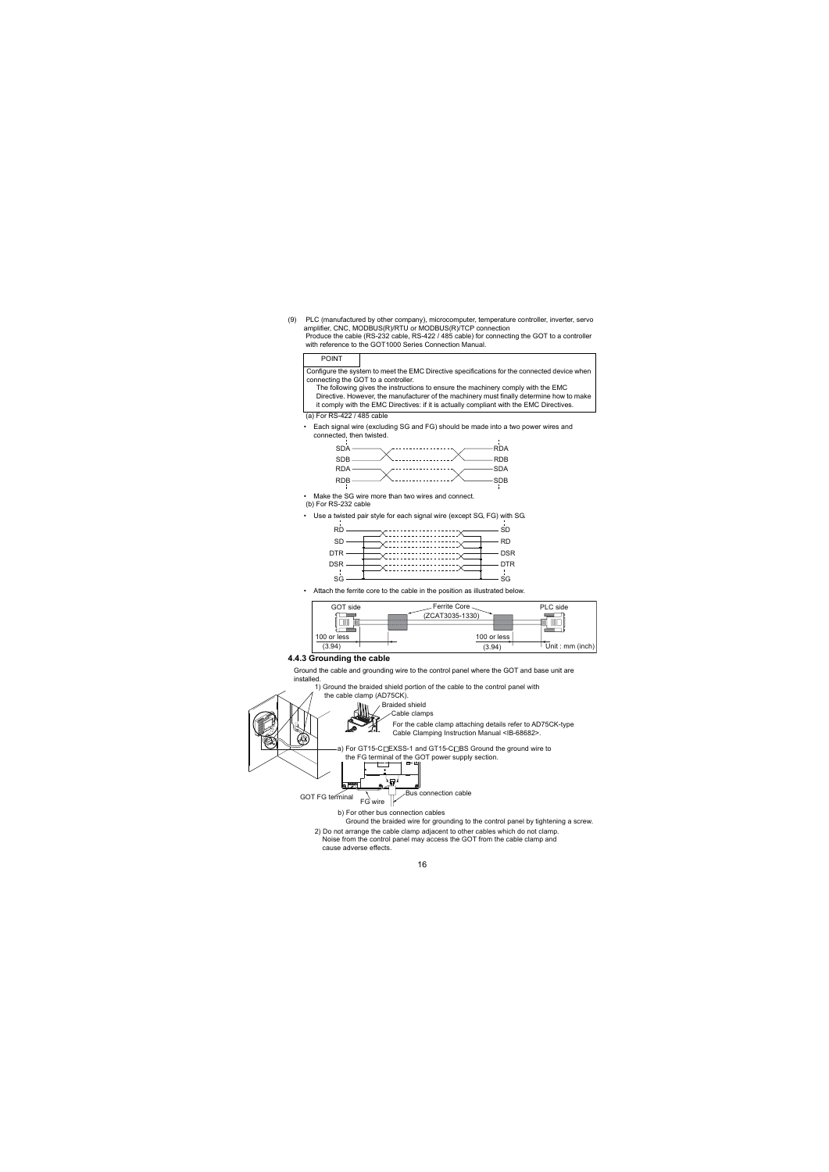(9) PLC (manufactured by other company), microcomputer, temperature controller, inverter, servo amplifier, CNC, MODBUS(R)/RTU or MODBUS(R)/TCP connection Produce the cable (RS-232 cable, RS-422 / 485 cable) for connecting the GOT to a controller with reference to the GOT1000 Series Connection Manual.

#### POINT

Configure the system to meet the EMC Directive specifications for the connected device when connecting the GOT to a controller.

The following gives the instructions to ensure the machinery comply with the EMC Directive. However, the manufacturer of the machinery must finally determine how to make it comply with the EMC Directives: if it is actually compliant with the EMC Directives.

#### (a) For RS-422 / 485 cable

• Each signal wire (excluding SG and FG) should be made into a two power wires and connected, then twisted.



• Make the SG wire more than two wires and connect.

- (b) For RS-232 cable
- Use a twisted pair style for each signal wire (except SG, FG) with SG.



• Attach the ferrite core to the cable in the position as illustrated below.

<span id="page-24-1"></span>

#### **4.4.3 Grounding the cable**

Ground the cable and grounding wire to the control panel where the GOT and base unit are installed.

1) Ground the braided shield portion of the cable to the control panel with

<span id="page-24-0"></span> the cable clamp (AD75CK). Braided shield Cable clamps For the cable clamp attaching details refer to AD75CK-type Cable Clamping Instruction Manual <IB-68682>. -a) For GT15-C□EXSS-1 and GT15-C□BS Ground the ground wire to the FG terminal of the GOT power supply section. بصا Bus connection cable GOT FG terminal FG wire b) For other bus connection cables Ground the braided wire for grounding to the control panel by tightening a screw. 2) Do not arrange the cable clamp adjacent to other cables which do not clamp. Noise from the control panel may access the GOT from the cable clamp and

cause adverse effects.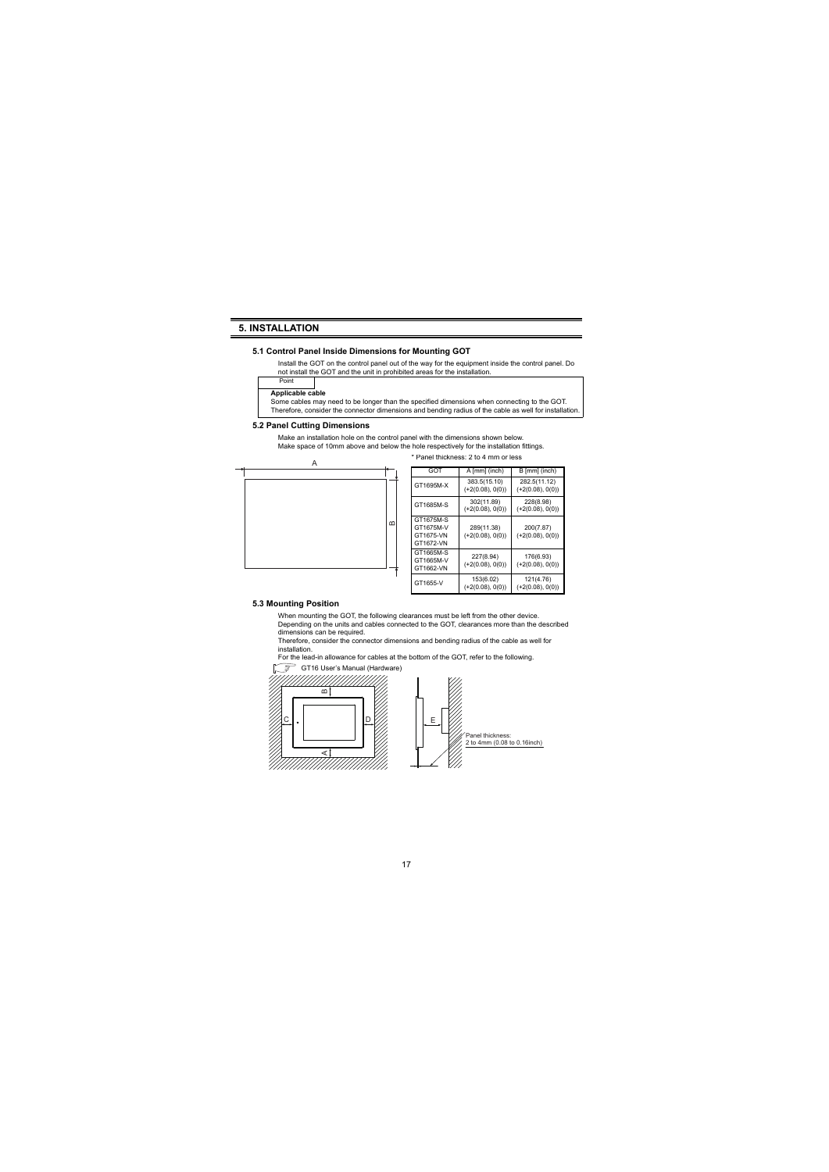### <span id="page-25-0"></span>**5. INSTALLATION**

#### <span id="page-25-1"></span>**5.1 Control Panel Inside Dimensions for Mounting GOT**

Install the GOT on the control panel out of the way for the equipment inside the control panel. Do not install the GOT and the unit in prohibited areas for the installation.

### **Applicable cable**

Point

Some cables may need to be longer than the specified dimensions when connecting to the GOT. Therefore, consider the connector dimensions and bending radius of the cable as well for installation.

#### <span id="page-25-2"></span>**5.2 Panel Cutting Dimensions**

Make an installation hole on the control panel with the dimensions shown below. Make space of 10mm above and below the hole respectively for the installation fittings.



| GOT                                              | A [mm] (inch)                      | B [mm] (inch)                      |  |
|--------------------------------------------------|------------------------------------|------------------------------------|--|
| GT1695M-X                                        | 383.5(15.10)<br>$(+2(0.08), 0(0))$ | 282.5(11.12)<br>$(+2(0.08), 0(0))$ |  |
| GT1685M-S                                        | 302(11.89)<br>$(+2(0.08), 0(0))$   | 228(8.98)<br>$(+2(0.08), 0(0))$    |  |
| GT1675M-S<br>GT1675M-V<br>GT1675-VN<br>GT1672-VN | 289(11.38)<br>$(+2(0.08), 0(0))$   | 200(7.87)<br>$(+2(0.08), 0(0))$    |  |
| GT1665M-S<br>GT1665M-V<br>GT1662-VN              | 227(8.94)<br>$(+2(0.08), 0(0))$    | 176(6.93)<br>$(+2(0.08), 0(0))$    |  |
| GT1655-V                                         | 153(6.02)<br>$(+2(0.08), 0(0))$    | 121(4.76)<br>$(+2(0.08), 0(0))$    |  |

\* Panel thickness: 2 to 4 mm or less

#### <span id="page-25-3"></span>**5.3 Mounting Position**

When mounting the GOT, the following clearances must be left from the other device. Depending on the units and cables connected to the GOT, clearances more than the described dimensions can be required.

Therefore, consider the connector dimensions and bending radius of the cable as well for installation.

For the lead-in allowance for cables at the bottom of the GOT, refer to the following.



17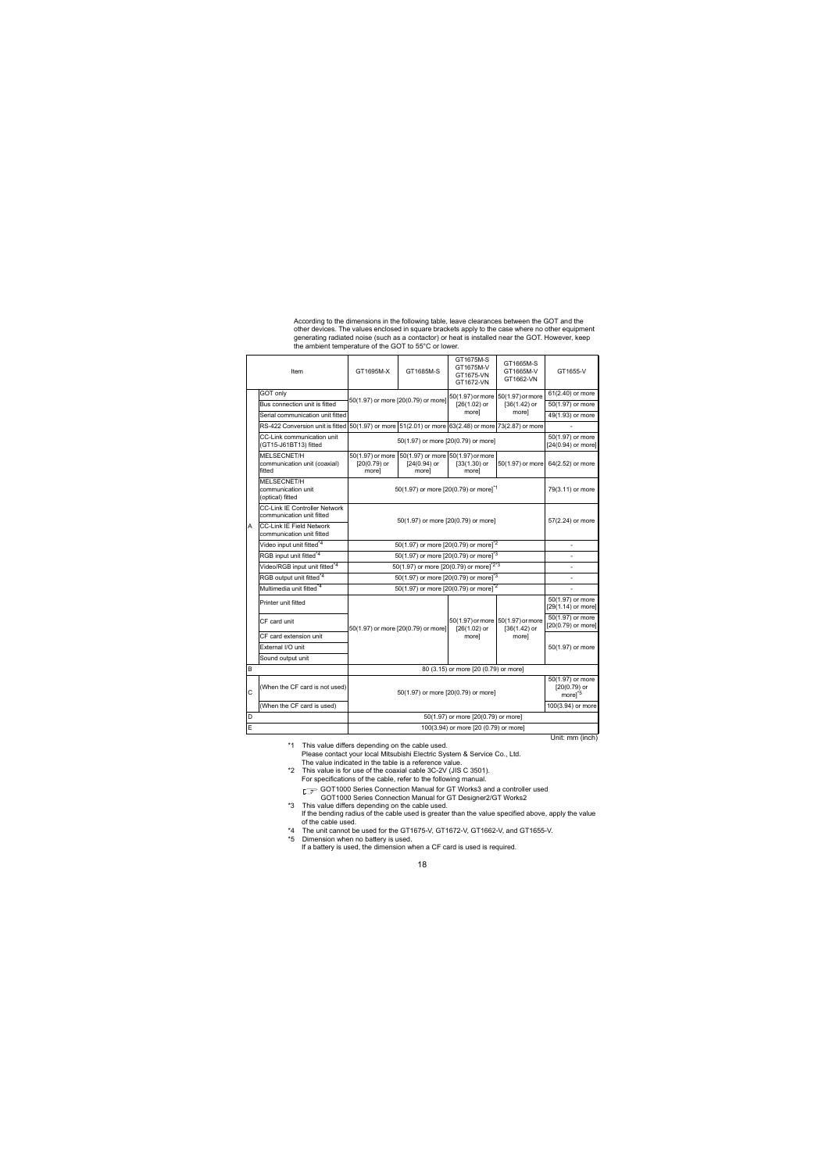According to the dimensions in the following table, leave clearances between the GOT and the other devices. The values enclosed in square brackets apply to the case where no other equipment generating radiated noise (such as a contactor) or heat is installed near the GOT. However, keep the ambient temperature of the GOT to 55°C or lower.

| Item |                                                                   | GT1695M-X                                                           | GT1685M-S                                                  | GT1675M-S<br>GT1675M-V<br>GT1675-VN<br>GT1672-VN    | GT1665M-S<br>GT1665M-V<br>GT1662-VN                       | GT1655-V                               |
|------|-------------------------------------------------------------------|---------------------------------------------------------------------|------------------------------------------------------------|-----------------------------------------------------|-----------------------------------------------------------|----------------------------------------|
|      | GOT only                                                          | 50(1.97) or more [20(0.79) or more]                                 |                                                            | 50(1.97) or more 50(1.97) or more                   |                                                           | 61(2.40) or more                       |
|      | Bus connection unit is fitted                                     |                                                                     |                                                            | $[26(1.02)$ or                                      | $[36(1.42)$ or                                            | 50(1.97) or more                       |
|      | Serial communication unit fitted                                  |                                                                     |                                                            | morel                                               | morel                                                     | 49(1.93) or more                       |
|      | RS-422 Conversion unit is fitted                                  | 50(1.97) or more 51(2.01) or more 63(2.48) or more 73(2.87) or more |                                                            |                                                     |                                                           |                                        |
|      | CC-Link communication unit<br>(GT15-J61BT13) fitted               |                                                                     | 50(1.97) or more [20(0.79) or more]                        |                                                     |                                                           | 50(1.97) or more<br>[24(0.94) or more] |
|      | MFI SECNET/H<br>communication unit (coaxial)<br>fitted            | 50(1.97) or more<br>[20(0.79) or<br>morel                           | 50(1.97) or more 50(1.97) or more<br>[24(0.94) or<br>morel | $[33(1.30)$ or<br>morel                             | 50(1.97) or more                                          | 64(2.52) or more                       |
|      | MELSECNET/H<br>communication unit<br>(optical) fitted             |                                                                     | 50(1.97) or more [20(0.79) or more] <sup>*1</sup>          |                                                     |                                                           |                                        |
|      | <b>CC-Link IE Controller Network</b><br>communication unit fitted |                                                                     | 50(1.97) or more [20(0.79) or more]                        |                                                     |                                                           |                                        |
| A    | CC-I ink IF Field Network<br>communication unit fitted            |                                                                     | 57(2.24) or more                                           |                                                     |                                                           |                                        |
|      | Video input unit fitted <sup>*4</sup>                             | 50(1.97) or more [20(0.79) or more] <sup>*2</sup>                   |                                                            |                                                     |                                                           |                                        |
|      | RGB input unit fitted <sup>*4</sup>                               | 50(1.97) or more [20(0.79) or more] <sup>3</sup>                    |                                                            |                                                     |                                                           |                                        |
|      | Video/RGB input unit fitted*4                                     | 50(1.97) or more (20(0.79) or more) <sup>223</sup>                  |                                                            |                                                     |                                                           |                                        |
|      | RGB output unit fitted <sup>*4</sup>                              | 50(1.97) or more (20(0.79) or more) <sup>*3</sup>                   |                                                            |                                                     |                                                           |                                        |
|      | Multimedia unit fitted <sup>*4</sup>                              |                                                                     | 50(1.97) or more [20(0.79) or more] <sup>2</sup>           |                                                     |                                                           |                                        |
|      | Printer unit fitted                                               |                                                                     |                                                            |                                                     |                                                           | 50(1.97) or more<br>[29(1.14) or more] |
|      | CF card unit                                                      | 50(1.97) or more [20(0.79) or more]                                 |                                                            | 50(1.97) or more 50(1.97) or more<br>$[26(1.02)$ or | $[36(1.42)$ or                                            | 50(1.97) or more<br>[20(0.79) or more] |
|      | CF card extension unit                                            |                                                                     |                                                            | more]                                               | more]                                                     |                                        |
|      | External I/O unit                                                 |                                                                     |                                                            |                                                     |                                                           | 50(1.97) or more                       |
|      | Sound output unit                                                 |                                                                     |                                                            |                                                     |                                                           |                                        |
| B    |                                                                   | 80 (3.15) or more [20 (0.79) or more]                               |                                                            |                                                     |                                                           |                                        |
| C    | (When the CF card is not used)                                    | 50(1.97) or more [20(0.79) or more]                                 |                                                            |                                                     | 50(1.97) or more<br>$[20(0.79)$ or<br>more] <sup>45</sup> |                                        |
|      | (When the CF card is used)                                        |                                                                     |                                                            |                                                     |                                                           | 100(3.94) or more                      |
| D    |                                                                   | 50(1.97) or more [20(0.79) or more]                                 |                                                            |                                                     |                                                           |                                        |
| E    |                                                                   | 100(3.94) or more [20 (0.79) or more]                               |                                                            |                                                     |                                                           |                                        |

Unit: mm (inch)

- \*1 This value differs depending on the cable used. Please contact your local Mitsubishi Electric System & Service Co., Ltd. The value indicated in the table is a reference value.
- \*2 This value is for use of the coaxial cable 3C-2V (JIS C 3501). For specifications of the cable, refer to the following manual.

GOT1000 Series Connection Manual for GT Works3 and a controller used GOT1000 Series Connection Manual for GT Designer2/GT Works2

- \*3 This value differs depending on the cable used. If the bending radius of the cable used is greater than the value specified above, apply the value of the cable used.
- \*4 The unit cannot be used for the GT1675-V, GT1672-V, GT1662-V, and GT1655-V.
- \*5 Dimension when no battery is used. If a battery is used, the dimension when a CF card is used is required.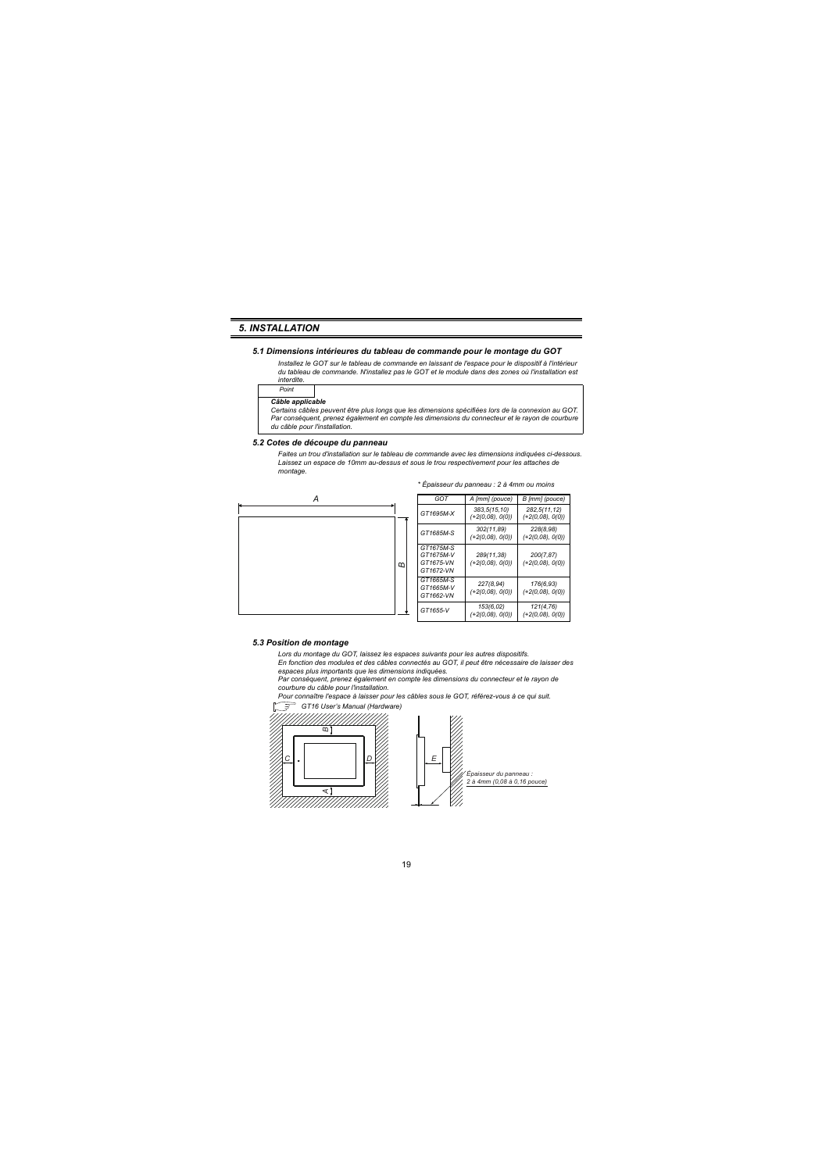### <span id="page-27-0"></span>*5. INSTALLATION*

#### <span id="page-27-1"></span>*5.1 Dimensions intérieures du tableau de commande pour le montage du GOT*

*Installez le GOT sur le tableau de commande en laissant de l'espace pour le dispositif à l'intérieur du tableau de commande. N'installez pas le GOT et le module dans des zones où l'installation est interdite.*

*Point*

#### *Câble applicable*

*Certains câbles peuvent être plus longs que les dimensions spécifiées lors de la connexion au GOT. Par conséquent, prenez également en compte les dimensions du connecteur et le rayon de courbure du câble pour l'installation.*

#### <span id="page-27-2"></span>*5.2 Cotes de découpe du panneau*

*Faites un trou d'installation sur le tableau de commande avec les dimensions indiquées ci-dessous. Laissez un espace de 10mm au-dessus et sous le trou respectivement pour les attaches de montage.*



#### <span id="page-27-3"></span>*5.3 Position de montage*

*Lors du montage du GOT, laissez les espaces suivants pour les autres dispositifs.*

*En fonction des modules et des câbles connectés au GOT, il peut être nécessaire de laisser des espaces plus importants que les dimensions indiquées.*

*Par conséquent, prenez également en compte les dimensions du connecteur et le rayon de courbure du câble pour l'installation.*

*Pour connaître l'espace à laisser pour les câbles sous le GOT, référez-vous à ce qui suit.*





#### *\* Épaisseur du panneau : 2 à 4mm ou moins*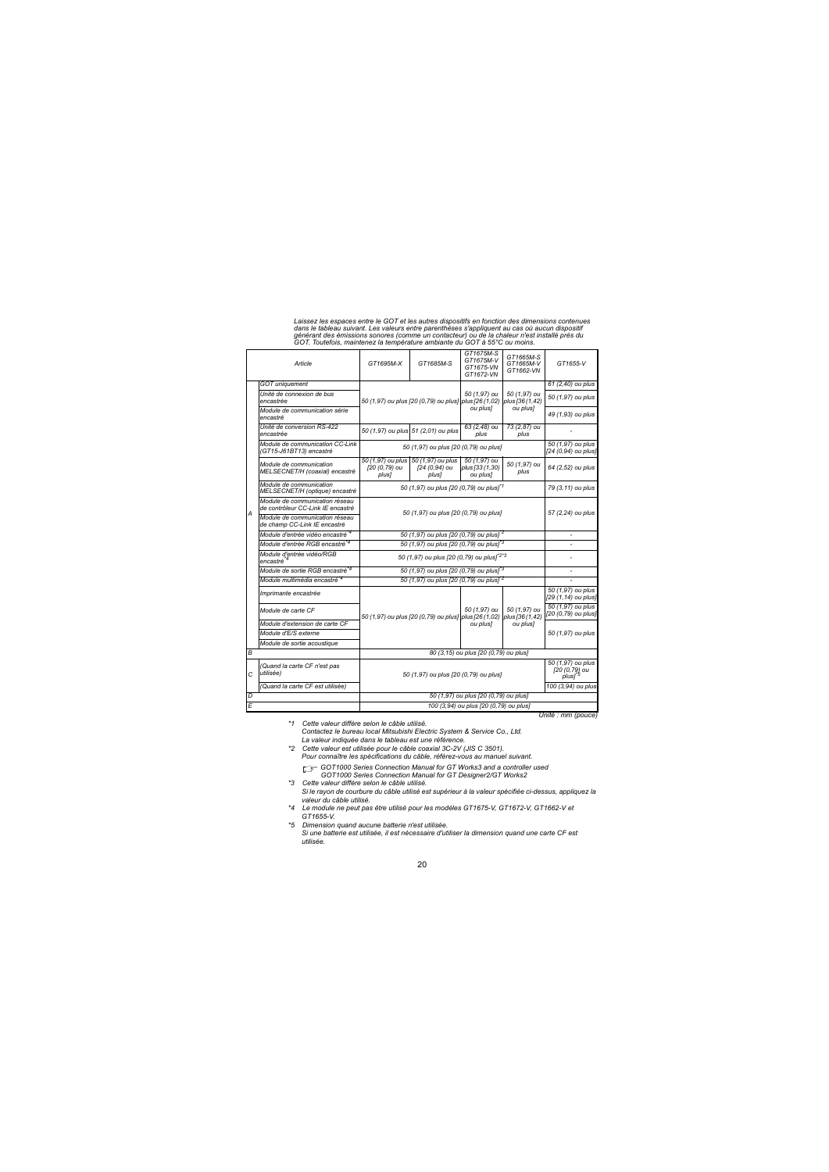*Laissez les espaces entre le GOT et les autres dispositifs en fonction des dimensions contenues dans le tableau suivant. Les valeurs entre parenthèses s'appliquent au cas où aucun dispositif générant des émissions sonores (comme un contacteur) ou de la chaleur n'est installé près du GOT. Toutefois, maintenez la température ambiante du GOT à 55°C ou moins.*

|                | Article                                                             | GT1695M-X                                             | GT1685M-S                                                             | GT1675M-S<br>GT1675M-V<br>GT1675-VN<br>GT1672-VN | GT1665M-S<br>GT1665M-V<br>GT1662-VN | GT1655-V                                                 |
|----------------|---------------------------------------------------------------------|-------------------------------------------------------|-----------------------------------------------------------------------|--------------------------------------------------|-------------------------------------|----------------------------------------------------------|
|                | <b>GOT</b> uniquement                                               |                                                       |                                                                       |                                                  |                                     | 61 (2,40) ou plus                                        |
|                | Unité de connexion de bus<br>encastrée                              |                                                       | 50 (1,97) ou plus [20 (0,79) ou plus] plus [26 (1,02) plus [36 (1,42) | 50 (1.97) ou                                     | 50 (1.97) ou<br>ou plus]            | 50 (1,97) ou plus                                        |
|                | Module de communication série<br>encastré                           |                                                       |                                                                       | ou plus]                                         |                                     | 49 (1,93) ou plus                                        |
|                | Unité de conversion RS-422<br>encastrée                             |                                                       | 50 (1,97) ou plus 51 (2,01) ou plus                                   | 63 (2,48) ou<br>plus                             | 73 (2,87) ou<br>plus                |                                                          |
|                | Module de communication CC-Link<br>(GT15-J61BT13) encastré          |                                                       | 50 (1,97) ou plus [20 (0,79) ou plus]                                 |                                                  |                                     | 50 (1,97) ou plus<br>[24 (0.94) ou plus]                 |
|                | Module de communication<br>MELSECNET/H (coaxial) encastré           | 50 (1,97) ou plus<br>[20 (0,79) ou<br>plus]           | 50 (1,97) ou plus<br>[24 (0.94) ou<br>plus]                           | 50 (1,97) ou<br>plus [33 (1.30)<br>ou plus]      | 50 (1,97) ou<br>plus                | 64 (2,52) ou plus                                        |
|                | Module de communication<br>MELSECNET/H (optique) encastré           |                                                       | 50 (1,97) ou plus [20 (0,79) ou plus] <sup>*1</sup>                   |                                                  |                                     |                                                          |
| A              | Module de communication réseau<br>de contrôleur CC-Link IF encastré | 50 (1,97) ou plus [20 (0,79) ou plus]                 |                                                                       |                                                  | 57 (2,24) ou plus                   |                                                          |
|                | Module de communication réseau<br>de champ CC-Link IE encastré      |                                                       |                                                                       |                                                  |                                     |                                                          |
|                | Module d'entrée vidéo encastré <sup>*4</sup>                        | 50 (1,97) ou plus [20 (0,79) ou plus] <sup>*2</sup>   | ٠                                                                     |                                                  |                                     |                                                          |
|                | Module d'entrée RGB encastré <sup>*4</sup>                          | 50 (1,97) ou plus [20 (0,79) ou plus] <sup>*3</sup>   |                                                                       |                                                  |                                     |                                                          |
|                | Module d'entrée vidéo/RGB<br>encastré <sup>*4</sup>                 | 50 (1,97) ou plus [20 (0,79) ou plus] <sup>*2*3</sup> |                                                                       |                                                  |                                     |                                                          |
|                | Module de sortie RGB encastré <sup>*4</sup>                         |                                                       | 50 (1,97) ou plus [20 (0,79) ou plus] <sup>3</sup>                    |                                                  |                                     |                                                          |
|                | Module multimédia encastré <sup>*4</sup>                            |                                                       | 50 (1,97) ou plus [20 (0,79) ou plus] <sup>*2</sup>                   |                                                  |                                     |                                                          |
|                | Imprimante encastrée                                                |                                                       |                                                                       |                                                  | 50 (1.97) ou<br>plus [36 (1.42)     | 50 (1.97) ou plus<br>[29 (1,14) ou plus]                 |
|                | Module de carte CF                                                  |                                                       | 50 (1,97) ou plus [20 (0,79) ou plus] plus [26 (1,02)                 | 50 (1.97) ou                                     |                                     | 50 (1,97) ou plus<br>[20 (0,79) ou plus]                 |
|                | Module d'extension de carte CF                                      |                                                       |                                                                       | ou plus]                                         | ou plus]                            |                                                          |
|                | Module d'E/S externe                                                |                                                       |                                                                       |                                                  |                                     | 50 (1,97) ou plus                                        |
|                | Module de sortie acoustique                                         |                                                       |                                                                       |                                                  |                                     |                                                          |
| B              |                                                                     | 80 (3,15) ou plus [20 (0,79) ou plus]                 |                                                                       |                                                  |                                     |                                                          |
| $\overline{C}$ | (Quand la carte CF n'est pas<br>utilisée)                           |                                                       | 50 (1,97) ou plus [20 (0,79) ou plus]                                 |                                                  |                                     | 50 (1,97) ou plus<br>[20 (0,79) ou<br>plus1 <sup>*</sup> |
|                | (Quand la carte CF est utilisée)                                    |                                                       |                                                                       |                                                  |                                     | 100 (3,94) ou plus                                       |
| D              |                                                                     | 50 (1,97) ou plus [20 (0,79) ou plus]                 |                                                                       |                                                  |                                     |                                                          |
| E              |                                                                     | 100 (3,94) ou plus [20 (0,79) ou plus]                |                                                                       |                                                  |                                     |                                                          |

*Unité : mm (pouce)*

*\*1 Cette valeur diffère selon le câble utilisé. Contactez le bureau local Mitsubishi Electric System & Service Co., Ltd. La valeur indiquée dans le tableau est une référence.*

*\*2 Cette valeur est utilisée pour le câble coaxial 3C-2V (JIS C 3501). Pour connaître les spécifications du câble, référez-vous au manuel suivant.*

 *GOT1000 Series Connection Manual for GT Works3 and a controller used GOT1000 Series Connection Manual for GT Designer2/GT Works2*

- *\*3 Cette valeur diffère selon le câble utilisé. Si le rayon de courbure du câble utilisé est supérieur à la valeur spécifiée ci-dessus, appliquez la valeur du câble utilisé.*
- *\*4 Le module ne peut pas être utilisé pour les modèles GT1675-V, GT1672-V, GT1662-V et GT1655-V.*
- *\*5 Dimension quand aucune batterie n'est utilisée. Si une batterie est utilisée, il est nécessaire d'utiliser la dimension quand une carte CF est utilisée.*